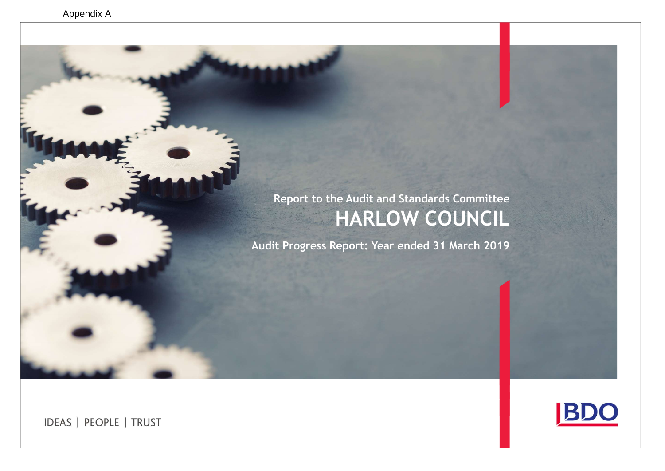# Report to the Audit and Standards Committee HARLOW COUNCIL

Audit Progress Report: Year ended 31 March 2019

**IDEAS | PEOPLE | TRUST** 

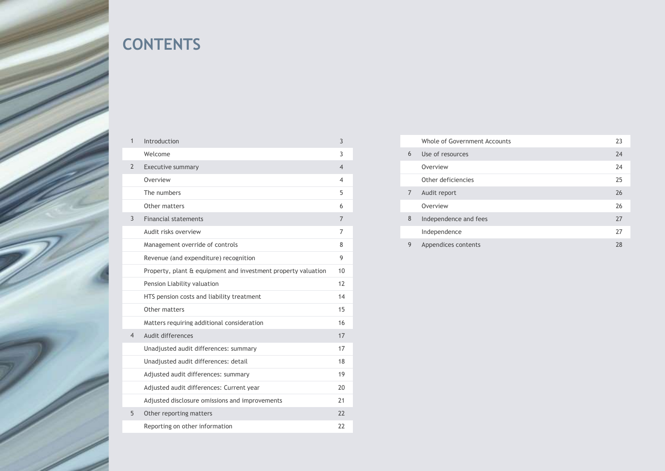

# **CONTENTS**

| $\mathbf{1}$   | Introduction                                                  | 3              |
|----------------|---------------------------------------------------------------|----------------|
|                | Welcome                                                       | 3              |
| $\overline{2}$ | Executive summary                                             | $\overline{4}$ |
|                | Overview                                                      | $\overline{4}$ |
|                | The numbers                                                   | 5              |
|                | Other matters                                                 | 6              |
| 3              | <b>Financial statements</b>                                   | $\overline{7}$ |
|                | Audit risks overview                                          | $\overline{7}$ |
|                | Management override of controls                               | 8              |
|                | Revenue (and expenditure) recognition                         | 9              |
|                | Property, plant & equipment and investment property valuation | 10             |
|                | Pension Liability valuation                                   | 12             |
|                | HTS pension costs and liability treatment                     | 14             |
|                | Other matters                                                 | 15             |
|                | Matters requiring additional consideration                    | 16             |
| 4              | Audit differences                                             | 17             |
|                | Unadjusted audit differences: summary                         | 17             |
|                | Unadjusted audit differences: detail                          | 18             |
|                | Adjusted audit differences: summary                           | 19             |
|                | Adjusted audit differences: Current year                      | 20             |
|                | Adjusted disclosure omissions and improvements                | 21             |
| 5              | Other reporting matters                                       | 22             |
|                | Reporting on other information                                | 22             |

|                | Whole of Government Accounts | 23 |
|----------------|------------------------------|----|
| 6              | Use of resources             | 24 |
|                | Overview                     | 24 |
|                | Other deficiencies           | 25 |
| $\overline{7}$ | Audit report                 | 26 |
|                | Overview                     | 26 |
| 8              | Independence and fees        | 27 |
|                | Independence                 | 27 |
| 9              | Appendices contents          | 28 |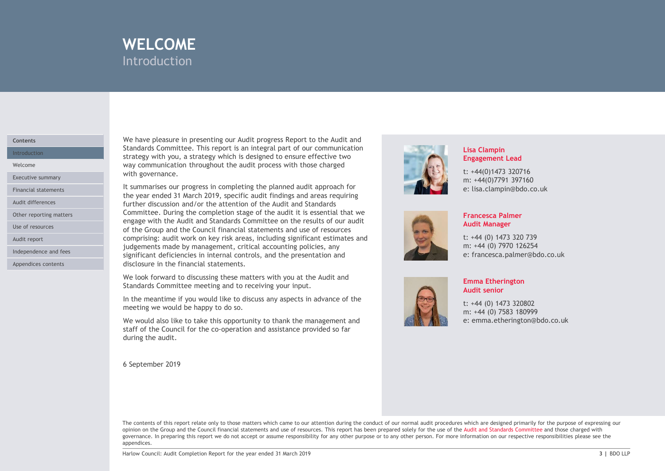

# **Contents**

Other reporting matters

Audit report

Independence and fees

Appendices contents

We have pleasure in presenting our Audit progress Report to the Audit and Standards Committee. This report is an integral part of our communication Introduction **Exercise 2020** Strategy with you, a strategy which is designed to ensure effective two **Intervention** WELCOME<br>
Introduction<br>
We have pleasure in presenting our Audit progress Report to the Audit and<br>
Standards Committee. This report is an integral part of our communication<br>
strategy with you, a strategy which is designed t Welcome **Example 2018** Way communication throughout the audit process with those charged Executive summary **Executive Summary** 

WELCOME<br>
Introduction<br>
Introduction<br>
Standards Committee. This report is an integral part of our communication<br>
Standards Committee. This report is an integral part of our communication<br>
strategy with you, a strategy which **INTERT COMMENT INTERT COMMENT INTER**<br>
Introduction<br>
Standards Committee. This report is an integral part of our communication<br>
started y with you, a strategy which is designed to ensure effective two<br>
way communication th **ELCOME**<br>
Introduction<br>
Standards Committee. This report saint progress Report to the Audit and<br>
Standards Committee. This report is an integral part of our communication<br>
strategy with you, a strategy which is designed to **WELCOME**<br>
Introduction<br>
We have pleasure in presenting our Audit progress Report to the Audit and<br>
Standards Committee. This report is an integral part of our communication<br>
startedy with you, a strategy which is designed Committee. During the completion stage of the audit it is essential that we engage with the Audit and Standards Committee on the results of our audit Use of resources and the Group and the Council financial statements and use of resources comprising: audit work on key risk areas, including significant estimates and judgements made by management, critical accounting policies, any significant deficiencies in internal controls, and the presentation and disclosure in the financial statements. We have pleasure in presenting our Audit progress Report to the Audit and Standards Committee. This report is an integral part of our communication way communication throughout the audit process with those charged with gov Financial statements **Exercise Statements** It summarises our progress in completing the planned audit approach for<br>the year ended 31 March 2019, specific audit findings and areas requiring Audit differences **Exercíal Contract Contract Contract Contract Contract Contract Contract Contract Contract Contract Contract Contract Contract Contract Contract Contract Contract Contract Contract Contract Contract Contr** 

We look forward to discussing these matters with you at the Audit and Standards Committee meeting and to receiving your input.

In the meantime if you would like to discuss any aspects in advance of the meeting we would be happy to do so.

We would also like to take this opportunity to thank the management and during the audit.

6 September 2019



# Lisa Clampin Engagement Lead

t: +44(0)1473 320716 m: +44(0)7791 397160 e: lisa.clampin@bdo.co.uk



# Francesca Palmer Audit Manager

t: +44 (0) 1473 320 739 m: +44 (0) 7970 126254 e: francesca.palmer@bdo.co.uk



# Emma Etherington Audit senior

t: +44 (0) 1473 320802 m: +44 (0) 7583 180999 e: emma.etherington@bdo.co.uk

Underlient is independent of the frame of the transmission Report for the year and the presentation and<br>distribute meeting and to receive matters with you at the Audit and<br>the meeting we would be happy to do so.<br>He meeting The contents of this report relate only to those matters which came to our attention during the conduct of our normal audit procedures which are designed primarily for the purpose of expressing our opinion on the Group and the Council financial statements and use of resources. This report has been prepared solely for the use of the Audit and Standards Committee and those charged with governance. In preparing this report we do not accept or assume responsibility for any other purpose or to any other person. For more information on our respective responsibilities please see the appendices.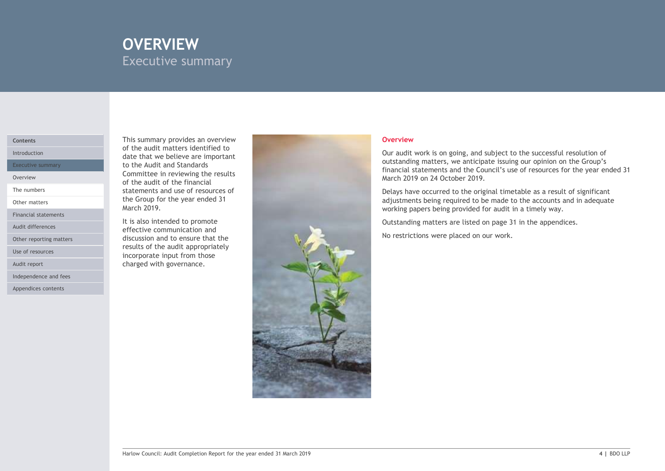# OVERVIEW EXECUTIVE SUMMARY Executive summary

# Contents

The numbers

Other matters

Financial statements

Other reporting matters

Use of resources

Audit report

Independence and fees

Appendices contents

This summary provides an overview of the audit matters identified to Introduction<br> **Introduction**<br> **Introduction**<br> **Introduction** Executive summary **Executive summary and Standards Executive summary** and Standards **Executive Standards** Committee in reviewing the results Overview commetted in terretaing the research of the audit of the financial statements and use of resources of the Group for the year ended 31 March 2019.

It is also intended to promote Audit differences **Exercise Exercise Communication and Communication** discussion and to ensure that the results of the audit appropriately incorporate input from those charged with governance.



# **Overview Overview** *Contract and the contract of the contract of the contract of the contract of the contract of the contract of the contract of the contract of the contract of the contract of the contract of the contr*

Our audit work is on going, and subject to the successful resolution of outstanding matters, we anticipate issuing our opinion on the Group's financial statements and the Council's use of resources for the year ended 31 March 2019 on 24 October 2019. Overview<br>Our audit work is on going, and subject to the successful resolution of<br>outstanding matters, we anticipate issuing our opinion on the Group's<br>financial statements and the Council's use of resources for the year en

Delays have occurred to the original timetable as a result of significant adjustments being required to be made to the accounts and in adequate working papers being provided for audit in a timely way.

Outstanding matters are listed on page 31 in the appendices.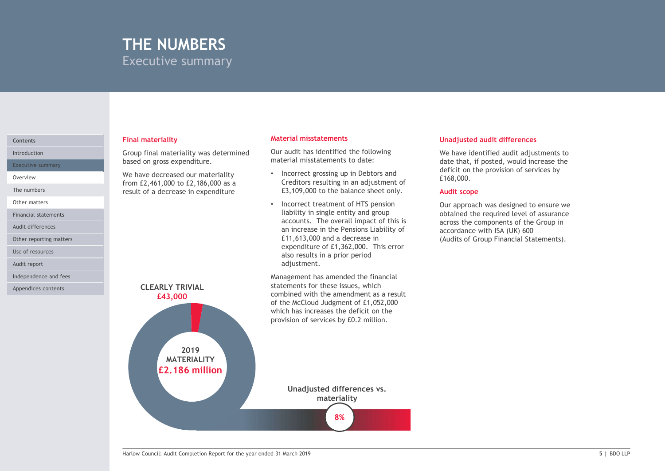# THE NUMBERS Executive summary

based on gross expenditure.

from £2,461,000 to £2,186,000 as a result of a decrease in expenditure

Executive summary

The numbers

Other matters

Financial statements

Audit differences

Other reporting matters

Use of resources

Audit report

Independence and fees

Appendices contents

### Final materiality Contents Material misstatements

Introduction **Exercise 2 Interpretation** Group final materiality was determined **ULCOM** Our audit has identified Our audit has identified the following material misstatements to date:

- Overview **EXECUTE:** We have decreased our materiality **Theoreth Contract** overview **CONTR** • Incorrect grossing up in Debtors and Creditors resulting in an adjustment of £3,109,000 to the balance sheet only.
	- Incorrect treatment of HTS pension liability in single entity and group accounts. The overall impact of this is an increase in the Pensions Liability of expenditure of £1,362,000. This error also results in a prior period adjustment.

Management has amended the financial statements for these issues, which of the McCloud Judgment of £1,052,000 which has increases the deficit on the provision of services by £0.2 million.

# Unadjusted audit differences

We have identified audit adjustments to date that, if posted, would increase the deficit on the provision of services by £168,000.

# Audit scope

£11,613,000 and a decrease in Our approach was designed to ensure we obtained the required level of assurance across the components of the Group in accordance with ISA (UK) 600 Unadjusted audit differences<br>We have identified audit adjustments to<br>date that, if posted, would increase the<br>deficit on the povision of services by<br>£168,000.<br>Audit scope<br>Our approach was designed to ensure we<br>obtained the

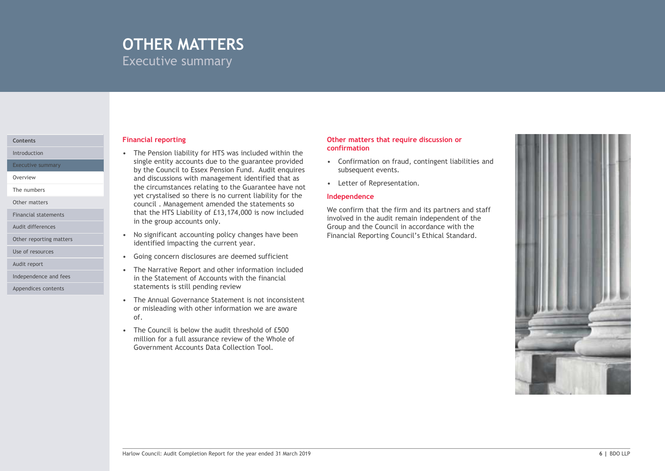# OTHER MATTERS Executive summary

Executive summary

The numbers

Other matters

Financial statements

Audit differences

Independence and fees Appendices contents

# **Financial reporting Contents of the Content of Contents of the Content of Trumper Contents of the Content of Trumper Content of Trumper Contents of Trumper Content of Trumper Content of Trumper Content of Trumper Content**

**COTHER MATTERS**<br>
Executive summary<br>
Financial reporting<br>
• The Pension liability for HTS was included within the<br>
single entity accounts due to the guarantee provided<br>
• Confirmation on<br>
by the Council to Essex Pension Fu single entity accounts due to the guarantee provided  $\bullet$  Confirmation on fraud, contingent liabilities and by the Council to Essex Pension Fund. Audit enquires Overview **Exercise 2 Conserversions** and discussions with management identified that as **Conserversions** at the set **Re** and discussions with management identified that as<br>the circumstances relating to the Guarantee have not **the Container THER MATTERS**<br>
examples are all the solution of the matter so there are also there are also there are also taken to the guarantee provided<br>
time persistal in the person time of the guarantee provided and incurrent of the council . Management amended the statements so that the HTS Liability of £13,174,000 is now included in the group accounts only. **COTHER MATTERS**<br>
Financial reporting summary<br>
Financial reporting summary<br>
• The Pension liability for HTS was included within the<br>
single entity accounts due to the guarantee provided<br>
by the Council to Essex Pension Fun Financial reporting<br>
• The Pension liability for HTS was included within the<br>
• The Pension liability for HTS was included within the<br>
• confirmation on<br>
by the Council to Essex Pension Fund. Audit enquires<br>
• confirmatio Financial reporting<br>
• The Pension liability for HTS was included within the<br>
• Single entity accounts due to the guarantee provided<br>
• Confirmation on<br>
by the Council to Essex Pension Fund. Audit enquires<br>
• Confirmatio Financial reporting<br>
• The Pension liability for HTS was included within the<br>
ensigned entity accounts due to the guarantee provided<br>
• Confirmation on<br>
by the Council to Essex Pension Fund. Audit enquires<br>
and discussion Financial reporting<br>
• The Pension liability for HTS was included within the<br>
single entity accounts due to the guarantee provided<br>
by the Confirmation on<br>
by the Council to Essex Pension Fund. Audit enquires<br>
and discuss Introduction **Contact Contact Contact Contact Contact Contact Contact Contact Contact Contact Contact Contact Contact Contact Contact Contact Contact Contact Contact Contact Contact Contact Contact Contact Contact Contact** 

- identified impacting the current year. Other reporting matters **and the set of the set of the set of the set of the reporting matters**
- Use of resources<br> **Use of resources**<br> **Example 2018**<br> **Example 2018**<br> **Example 2018**<br> **Example 2018**<br> **Example 2018**<br> **Example 2018**<br> **Example 2019**<br> **Example 2019**<br> **Example 2019**
- in the Statement of Accounts with the financial statements is still pending review Audit report **Audit report Audit report Audit report Audit report Audit report Audit report Audit report Audit report Audit report Audit report Audit report Audit report Audit report Audit report** 
	- or misleading with other information we are aware of.
	- million for a full assurance review of the Whole of Government Accounts Data Collection Tool.

# Other matters that require discussion or confirmation

- subsequent events.
- 

# Independence

We confirm that the firm and its partners and staff involved in the audit remain independent of the Financial Reporting Council's Ethical Standard.

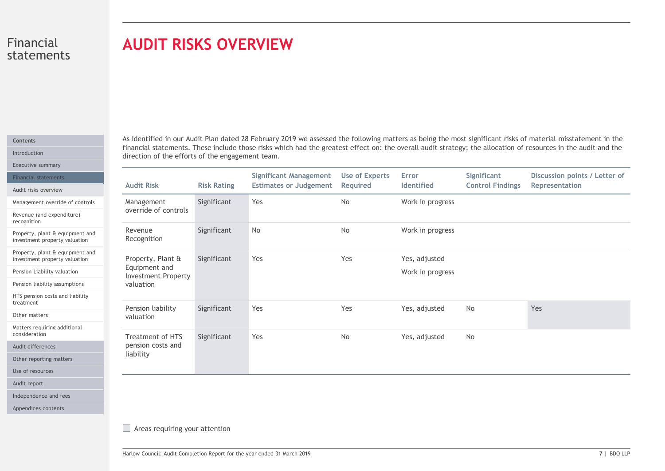# AUDIT RISKS OVERVIEW

# Contents

| statements                                                                                                                                                          | <b>AUDIT RISKS OVERVIEW</b>                                                                                         |                    |                                                                |                                   |                                   |                                        |                                                                                                                                                                                                                                                                                                                                |  |  |
|---------------------------------------------------------------------------------------------------------------------------------------------------------------------|---------------------------------------------------------------------------------------------------------------------|--------------------|----------------------------------------------------------------|-----------------------------------|-----------------------------------|----------------------------------------|--------------------------------------------------------------------------------------------------------------------------------------------------------------------------------------------------------------------------------------------------------------------------------------------------------------------------------|--|--|
|                                                                                                                                                                     | direction of the efforts of the engagement team.                                                                    |                    |                                                                |                                   |                                   |                                        | As identified in our Audit Plan dated 28 February 2019 we assessed the following matters as being the most significant risks of material misstatement in the<br>financial statements. These include those risks which had the greatest effect on: the overall audit strategy; the allocation of resources in the audit and the |  |  |
| <b>Financial statements</b><br>Audit risks overview                                                                                                                 | <b>Audit Risk</b>                                                                                                   | <b>Risk Rating</b> | <b>Significant Management</b><br><b>Estimates or Judgement</b> | <b>Use of Experts</b><br>Required | Error<br>Identified               | Significant<br><b>Control Findings</b> | Discussion points / Letter of<br>Representation                                                                                                                                                                                                                                                                                |  |  |
| Management override of controls<br>Revenue (and expenditure)                                                                                                        | Management<br>override of controls                                                                                  | Significant        | Yes                                                            | No                                | Work in progress                  |                                        |                                                                                                                                                                                                                                                                                                                                |  |  |
| Property, plant & equipment and<br>investment property valuation                                                                                                    | Revenue<br>Recognition                                                                                              | Significant        | No                                                             | No                                | Work in progress                  |                                        |                                                                                                                                                                                                                                                                                                                                |  |  |
| Property, plant & equipment and<br>investment property valuation<br>Pension Liability valuation<br>Pension liability assumptions<br>HTS pension costs and liability | Property, Plant &<br>Equipment and<br><b>Investment Property</b><br>valuation                                       | Significant        | Yes                                                            | Yes                               | Yes, adjusted<br>Work in progress |                                        |                                                                                                                                                                                                                                                                                                                                |  |  |
|                                                                                                                                                                     | Pension liability<br>valuation                                                                                      | Significant        | Yes                                                            | Yes                               | Yes, adjusted                     | No                                     | Yes                                                                                                                                                                                                                                                                                                                            |  |  |
| Matters requiring additional<br>Other reporting matters                                                                                                             | Treatment of HTS<br>pension costs and<br>liability                                                                  | Significant        | Yes                                                            | No                                | Yes, adjusted                     | No                                     |                                                                                                                                                                                                                                                                                                                                |  |  |
|                                                                                                                                                                     |                                                                                                                     |                    |                                                                |                                   |                                   |                                        |                                                                                                                                                                                                                                                                                                                                |  |  |
| Independence and fees<br>Appendices contents                                                                                                                        | $\equiv$ Areas requiring your attention<br>Harlow Council: Audit Completion Report for the year ended 31 March 2019 |                    |                                                                |                                   |                                   |                                        | 7   BDO LLP                                                                                                                                                                                                                                                                                                                    |  |  |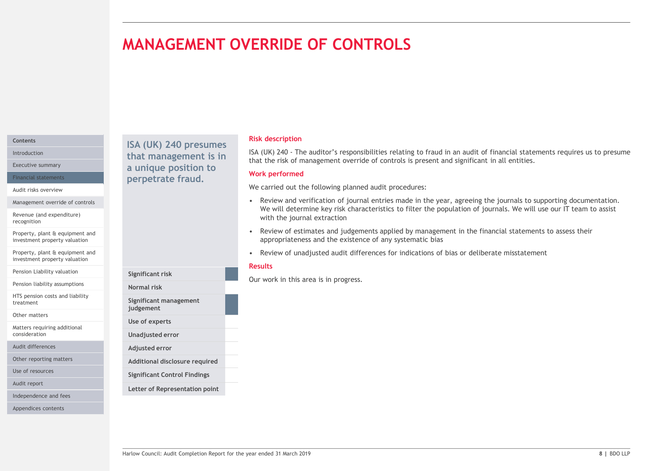# MANAGEMENT OVERRIDE OF CONTROLS

# Contents

Audit risks overview

Management override of controls

Revenue (and expenditure) recognition

Property, plant & equipment and investment property valuation

Property, plant & equipment and investment property valuation

Pension Liability valuation

Pension liability assumptions

HTS pension costs and liability treatment

Other matters

Matters requiring additional consideration

Audit differences

Other reporting matters

Use of resources

Audit report

Independence and fees

Appendices contents

Introduction **that management is in**  $I_{\text{A}}(UK)$   $I_{\text{A}}(UK)$  and  $I_{\text{B}}(UK)$  and  $I_{\text{B}}(IK)$ Executive summary **Executive summary a unique position to West Bank** Financial statements **Example 19 Perpetrate fraud.** The contracter of the contracted of the contracted of the contracted of the contracted of the contracted of the contracted of the contracted of the contracted of the cont

> Significant risk Normal risk

judgement Use of experts Unadjusted error Adjusted error

Significant management

Additional disclosure required Significant Control Findings Letter of Representation point

# Risk description

**ISA (UK) 240 - The auditor's responsibilities relating to fraud in an audit of financial statements requires us to presume that the risk of management override of controls is present and significant in all entities.<br>Werk** that the risk of management override of controls is present and significant in all entities. ISA (UK) 240 presumes<br>
ISA (UK) 240 - The auditor's responsibilities relating to fraud in an audit of financial statements requires us to presume

# Work performed

We carried out the following planned audit procedures:

- **ERRIDE OF CONTROLS**<br>
Sisk description<br>
1964 (Wi) 240 The auditor's responsibilities relating to fraud in an audit of financial statements requires us to presume<br>
that the risk of management overried of controls is prese We will determine key risk characteristics to filter the population of journals. We will use our IT team to assist with the journal extraction **ERRIDE OF CONTROLS**<br> **EACT AND 200** - The auditor's responsibilities relating to fraud in an audit of financial statements requires us to presume<br>
that the risk of management override of controls is present and significan **Risk description**<br> **Risk description**<br>
Risk description<br>
ISA (UK) 240 - The auditor's responsibilities relating to fraud in an audit of financial statements requires us to presume<br>
that the risk of management override of
- appropriateness and the existence of any systematic bias
- Farlow Council: Audit Completion Report for the year ended 31 March 2019 8 | BDO LLP<br>
Harlow Council: Audit Constrained Report for the year ended 31 March 2019 8 | BDC Council: Audit Constrained Audit<br>
Unagitated error<br>
Ad

# Results

Our work in this area is in progress.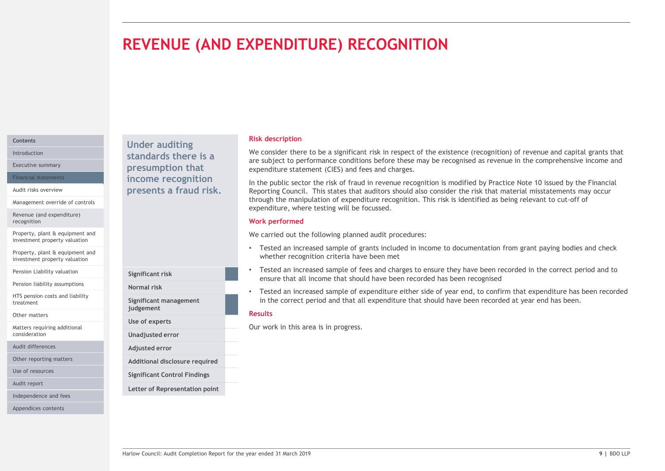# REVENUE (AND EXPENDITURE) RECOGNITION

# Contents

Management override of controls

Revenue (and expenditure) recognition

Property, plant & equipment and investment property valuation

Property, plant & equipment and investment property valuation

Pension Liability valuation

Pension liability assumptions<br>
Normal risk

HTS pension costs and liability treatment

Other matters

Matters requiring additional consideration

Audit differences

Other reporting matters

Use of resources

Audit report

Independence and fees

Appendices contents

Under auditing Introduction **Standards there is a** We consider the Unitroduction Executive summary **Executive summary presumption that** expenditure expenditure Financial statements **Example 20 income recognition** and the public Audit risks overview **Exercise Service Service Service Connect Presents a fraud risk.** Reporting Council.

Significant risk

judgement Use of experts Unadjusted error Adjusted error

Significant management

Additional disclosure required Significant Control Findings Letter of Representation point

### Risk description

We consider there to be a significant risk in respect of the existence (recognition) of revenue and capital grants that are subject to performance conditions before these may be recognised as revenue in the comprehensive income and expenditure statement (CIES) and fees and charges.

In the public sector the risk of fraud in revenue recognition is modified by Practice Note 10 issued by the Financial Reporting Council. This states that auditors should also consider the risk that material misstatements may occur through the manipulation of expenditure recognition. This risk is identified as being relevant to cut-off of expenditure, where testing will be focussed.

# Work performed

We carried out the following planned audit procedures:

- Tested an increased sample of grants included in income to documentation from grant paying bodies and check whether recognition criteria have been met
- Tested an increased sample of fees and charges to ensure they have been recorded in the correct period and to ensure that all income that should have been recorded has been recognised
- From the the council of the state of the year ended and income to documentation from grant paying books and check<br>
Tested an increased sample of fees and charges to ensure the have been recorded in the correct period and t • Tested an increased sample of expenditure either side of year end, to confirm that expenditure has been recorded Normal risk in the correct period and that all expenditure that should have been recorded at year end has been.

# Results

Our work in this area is in progress.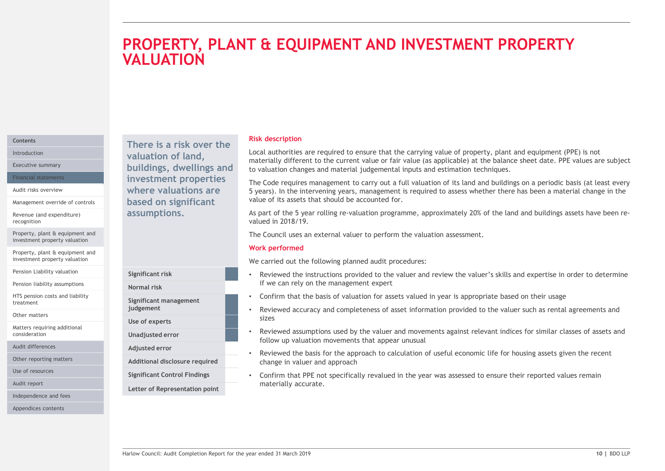# **THE EQUIPMENT AND INVESTMENT PROPERTY**<br>
Risk description<br>
local authorities are required to ensure that the carrying value of property, plant and equipment (PPE) is not<br>
materially different to the current value of fair v PROPERTY, PLANT & EQUIPMENT AND INVESTMENT PROPERTY **VALUATION**

# **Contents**

Management override of controls

Revenue (and expenditure) recognition

Property, plant & equipment and investment property valuation

Property, plant & equipment and investment property valuation

Pension Liability valuation

Pension liability assumptions

HTS pension costs and liability treatment

Other matters

Matters requiring additional consideration

Audit differences

Other reporting matters

Use of resources

Audit report

Independence and fees

Appendices contents

There is a risk over the Introduction **Example 2 Valuation of land, Example 2 LOCAL AUTH** Executive summary **Executive summary Executive summary Executive summary Executive summary** Financial statements **Example 11 investment properties** The Code require Audit risks overview **EXEC EXECUTE:** Where valuations are **the set of Syears**). In the based on significant assumptions.

Normal risk

Use of experts

Adjusted error

Significant management

Letter of Representation point

# Risk description

Local authorities are required to ensure that the carrying value of property, plant and equipment (PPE) is not materially different to the current value or fair value (as applicable) at the balance sheet date. PPE values are subject to valuation changes and material judgemental inputs and estimation techniques.

The Code requires management to carry out a full valuation of its land and buildings on a periodic basis (at least every 5 years). In the intervening years, management is required to assess whether there has been a material change in the value of its assets that should be accounted for. Fisk description<br>
Risk description<br>
Risk description<br>
Incardially different to the current value of any value of property, plant and equipment (PPE) is not<br>
to valuation changes and material in determining variant simple ( **Risk description**<br>
Local authorities are required to ensure that the carrying value of property, plant and equipment (PPE) is not<br>
materially different to the current value of rair value (as applicable) at the balance she **Risk description**<br>
Local authorities are required to ensure that the carrying value of property, plant and equipment (PPE) is not<br>
materially different to the current value or fair value (as applicable) at the balance she materially different to the current value or fair value (as applicable) at the balance sheet date. PPE values are subject<br>The Code requires management to carry out a full valuation of its land and buildings on a periodic b

As part of the 5 year rolling re-valuation programme, approximately 20% of the land and buildings assets have been revalued in 2018/19.

# Work performed

We carried out the following planned audit procedures:

- if we can rely on the management expert Significant risk **Significant risk** entertainment of the viewed the instructions provided to the valuer and review the valuer's skills and expertise in order to determine
	- Confirm that the basis of valuation for assets valued in year is appropriate based on their usage
- sizes judgement experience of the viewed accuracy and completeness of asset information provided to the valuer such as rental agreements and
- Significant risk<br>
We carried out the following planned audit procedures:<br>
We carried out the following planned audit procedures:<br>
In New Council: All the Council of the year ended the valuer and review the valuer's skills follow up valuation movements that appear unusual Unadjusted error **Starfer Engles** • Reviewed assumptions used by the valuer and movements against relevant indices for similar classes of assets and
- Reviewed the basis for the approach to calculation of useful economic life for housing assets given the recent Additional disclosure required entity change in valuer and approach
- materially accurate. Significant Control Findings • Confirm that PPE not specifically revalued in the year was assessed to ensure their reported values remain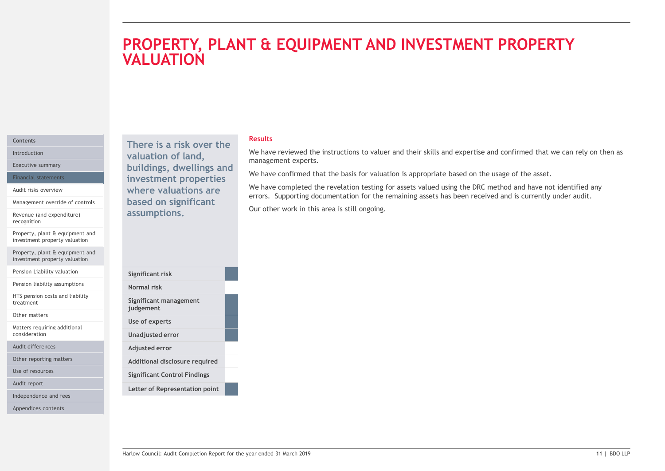# **T & EQUIPMENT AND INVESTMENT PROPERTY**<br>Results<br>We have reviewed the instructions to valuer and their skills and expertise and confirmed that we can rely on then as<br>We have confirmed that the basis for valuation is appropr **FE EQUIPMENT AND INVESTMENT PROPERTY**<br>Results<br>We have reviewed the instructions to valuer and their skills and expertise and confirmed that we can rely on then as<br>management experts.<br>We have confirmed that the basis for v PROPERTY, PLANT & EQUIPMENT AND INVESTMENT PROPERTY VALUATION

# Contents

Management override of controls

Revenue (and expenditure) recognition

Property, plant & equipment and investment property valuation

Property, plant & equipment and investment property valuation

Pension Liability valuation

Pension liability assumptions

HTS pension costs and liability treatment

Other matters

Matters requiring additional consideration

Audit differences

Other reporting matters

Use of resources

Audit report

Independence and fees

Appendices contents

Introduction **Exercise Production Controllering Controllering Controllering Controllering Controllering Controllering Controllering Controllering Controllering Controllering Controllering Controllering Controllering Cont** Executive summary **Executive summary buildings, dwellings and Machines and Constitution** Financial statements **Example 11 investment properties Example 2018** Audit risks overview **Audit risks overview Audit risks overview Audit risks overview Audit Comment Support** assumptions.

| Significant risk<br>Normal risk<br>Significant management<br>judgement<br>Use of experts<br>Unadjusted error<br>Adjusted error<br>Additional disclosure required<br><b>Significant Control Findings</b><br>Letter of Representation point<br>11   BDO LLP<br>Harlow Council: Audit Completion Report for the year ended 31 March 2019 |  |  |
|---------------------------------------------------------------------------------------------------------------------------------------------------------------------------------------------------------------------------------------------------------------------------------------------------------------------------------------|--|--|
|                                                                                                                                                                                                                                                                                                                                       |  |  |
|                                                                                                                                                                                                                                                                                                                                       |  |  |
|                                                                                                                                                                                                                                                                                                                                       |  |  |
|                                                                                                                                                                                                                                                                                                                                       |  |  |
|                                                                                                                                                                                                                                                                                                                                       |  |  |
|                                                                                                                                                                                                                                                                                                                                       |  |  |
|                                                                                                                                                                                                                                                                                                                                       |  |  |
|                                                                                                                                                                                                                                                                                                                                       |  |  |
|                                                                                                                                                                                                                                                                                                                                       |  |  |
|                                                                                                                                                                                                                                                                                                                                       |  |  |
|                                                                                                                                                                                                                                                                                                                                       |  |  |
|                                                                                                                                                                                                                                                                                                                                       |  |  |
|                                                                                                                                                                                                                                                                                                                                       |  |  |
|                                                                                                                                                                                                                                                                                                                                       |  |  |
|                                                                                                                                                                                                                                                                                                                                       |  |  |
|                                                                                                                                                                                                                                                                                                                                       |  |  |
|                                                                                                                                                                                                                                                                                                                                       |  |  |

# Results

management experts. There is a risk over the<br>unlined that we can rely on then as

We have confirmed that the basis for valuation is appropriate based on the usage of the asset.

We have completed the revelation testing for assets valued using the DRC method and have not identified any where valuations are<br>based on significant errors. Supporting documentation for the remaining assets has been received and is currently under audit.

Our other work in this area is still ongoing.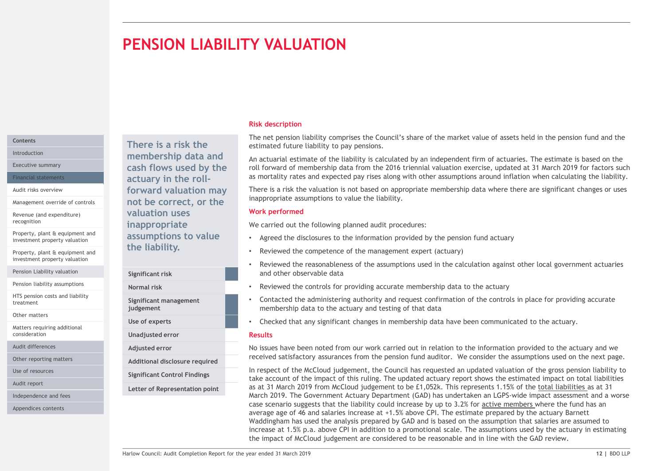# PENSION LIABILITY VALUATION

# Contents

Management override of controls

Revenue (and expenditure)

Property, plant & equipment and investment property valuation

Property, plant & equipment and investment property valuation

Pension Liability valuation

Pension liability assumptions<br>
Normal risk

HTS pension costs and liability treatment

Other matters

Matters requiring additional consideration

Audit differences

Other reporting matters

Use of resources

Audit report

Independence and fees

Appendices contents

There is a risk the Introduction **Exercise 2 Construction EXECUTE: Introduction** and **EXECUTE:** An actuarial esti Executive summary **Executive summary Cash flows used by the** roll forward of mo Financial statements **Exercise 2 Contains a Setuary in the roll-**Audit risks overview **Example 2 Service 1 Contract Contract Contract Contract Contract Contract Contract Contract Contract Contract Contract Contract Contract Contract Contract Contract Contract Contract Contract Contract** not be correct, or the valuation uses recognition Mexico extends the extending of the inappropriate that the control of the control of the control of assumptions to value the liability.

Significant risk

Significant management

judgement Use of experts

Unadjusted error

- Adjusted error
- Additional disclosure required
- Significant Control Findings

# Letter of Representation point

Risk description

The net pension liability comprises the Council's share of the market value of assets held in the pension fund and the estimated future liability to pay pensions.

An actuarial estimate of the liability is calculated by an independent firm of actuaries. The estimate is based on the roll forward of membership data from the 2016 triennial valuation exercise, updated at 31 March 2019 for factors such as mortality rates and expected pay rises along with other assumptions around inflation when calculating the liability.

There is a risk the valuation is not based on appropriate membership data where there are significant changes or uses inappropriate assumptions to value the liability.

# Work performed

We carried out the following planned audit procedures:

- Agreed the disclosures to the information provided by the pension fund actuary
- Reviewed the competence of the management expert (actuary)
- Reviewed the reasonableness of the assumptions used in the calculation against other local government actuaries and other observable data
- Reviewed the controls for providing accurate membership data to the actuary Normal risk
	- Contacted the administering authority and request confirmation of the controls in place for providing accurate membership data to the actuary and testing of that data
	- Checked that any significant changes in membership data have been communicated to the actuary.

# Results

No issues have been noted from our work carried out in relation to the information provided to the actuary and we received satisfactory assurances from the pension fund auditor. We consider the assumptions used on the next page.

ETHE IT ISDNIFY, a Reviewed the competence of the management expert (actuary)<br>
Significant risk<br>
and other observable data<br>
Reviewed the controlling accurate membership data to the actuary<br>
Significant management<br>
Signific In respect of the McCloud judgement, the Council has requested an updated valuation of the gross pension liability to take account of the impact of this ruling. The updated actuary report shows the estimated impact on total liabilities as at 31 March 2019 from McCloud judgement to be £1,052k. This represents 1.15% of the total liabilities as at 31 March 2019. The Government Actuary Department (GAD) has undertaken an LGPS-wide impact assessment and a worse case scenario suggests that the liability could increase by up to 3.2% for active members where the fund has an average age of 46 and salaries increase at +1.5% above CPI. The estimate prepared by the actuary Barnett We carried out the following planned audit procedures:<br>
• Agreed the disclosures to the information provided by the pension fund actuary<br>
• Reviewed the competence of the management expert (actuary)<br>
• Reviewed the contro increase at 1.5% p.a. above CPI in addition to a promotional scale. The assumptions used by the actuary in estimating the impact of McCloud judgement are considered to be reasonable and in line with the GAD review.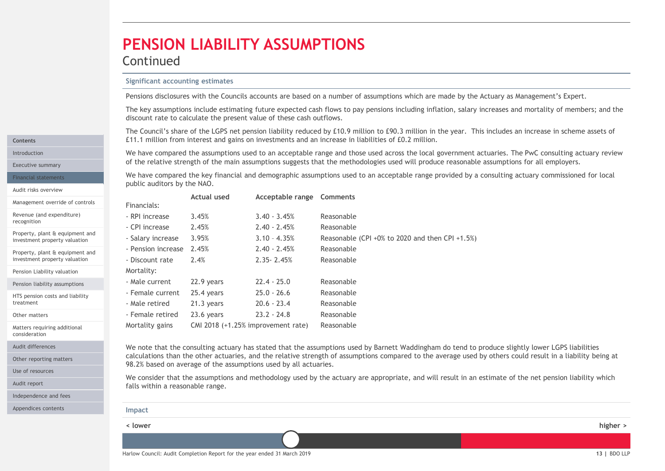# PENSION LIABILITY ASSUMPTIONS

# Continued

**PENSION LIABILITY ASSUMPTIONS**<br> **Significant accounting estimates**<br> **Pensions disclosures with the Councils accounts are based on a number of assumptions which**<br>
The key assumptions include estimating future expected cash The key assumptions include estimating future expected cash flows to pay pensions including inflation, salary increases and mortality of members; and the discount rate to calculate the present value of these cash outflows.

**PENSION LIABILITY ASSUMPTIONS**<br>
Significant accounting estimates<br>
Pensions disclosures with the Councils accounts are based on a number of assumptions which are made by the Actuary as Management's Expert.<br>
The key assumpt Introduction **1992 The Consulting actuary review** We have compared the assumptions used to an acceptable range and those used across the local government actuaries. The PwC consulting actuary review **ENSION LIABILITY ASSUMPTIONS**<br>
Significant accounting estimates<br>
Pensions disclosures with the Councils accounts are based on a number of assumptions which are made by the Actuary as Management's Expert.<br>
The rey assumpti Executive summary of the relative strength of the main assumptions suggests that the methodologies used will produce reasonable assumptions for all employers.

Financial statements **1990** We have compared the key financial and demographic assumptions used to an acceptable range provided by a consulting actuary commissioned for local public auditors by the NAO.

| Pensions disclosures with the Councils accounts are based on a number of assumptions which are made by the Actuary as Management's Expert.<br>The key assumptions include estimating future expected cash flows to pay pensions including inflation, salary increases and mortality of members; and the<br>discount rate to calculate the present value of these cash outflows.<br>The Council's share of the LGPS net pension liability reduced by £10.9 million to £90.3 million in the year. This includes an increase in scheme assets of<br>£11.1 million from interest and gains on investments and an increase in liabilities of £0.2 million.<br>We have compared the assumptions used to an acceptable range and those used across the local government actuaries. The PwC consulting actuary review<br>of the relative strength of the main assumptions suggests that the methodologies used will produce reasonable assumptions for all employers.<br>We have compared the key financial and demographic assumptions used to an acceptable range provided by a consulting actuary commissioned for local<br>public auditors by the NAO.<br><b>Actual used</b><br>Acceptable range Comments<br>Financials:<br>3.45%<br>$3.40 - 3.45%$<br>Reasonable<br>- RPI increase<br>2.45%<br>$2.40 - 2.45%$<br>- CPI increase<br>Reasonable<br>3.95%<br>- Salary increase<br>$3.10 - 4.35%$<br>Reasonable (CPI +0% to 2020 and then CPI +1.5%)<br>- Pension increase 2.45%<br>$2.40 - 2.45%$<br>Reasonable<br>2.35-2.45%<br>2.4%<br>Reasonable<br>- Discount rate<br>Mortality:<br>$22.4 - 25.0$<br>- Male current<br>22.9 years<br>Reasonable<br>25.4 years<br>$25.0 - 26.6$<br>- Female current<br>Reasonable<br>$20.6 - 23.4$<br>- Male retired<br>21.3 years<br>Reasonable<br>$23.2 - 24.8$<br>- Female retired<br>23.6 years<br>Reasonable<br>CMI 2018 (+1.25% improvement rate) Reasonable<br>Mortality gains<br>We note that the consulting actuary has stated that the assumptions used by Barnett Waddingham do tend to produce slightly lower LGPS liabilities<br>calculations than the other actuaries, and the relative strength of assumptions compared to the average used by others could result in a liability being at<br>98.2% based on average of the assumptions used by all actuaries.<br>We consider that the assumptions and methodology used by the actuary are appropriate, and will result in an estimate of the net pension liability which<br>falls within a reasonable range. | <b>Significant accounting estimates</b> |  |          |
|-----------------------------------------------------------------------------------------------------------------------------------------------------------------------------------------------------------------------------------------------------------------------------------------------------------------------------------------------------------------------------------------------------------------------------------------------------------------------------------------------------------------------------------------------------------------------------------------------------------------------------------------------------------------------------------------------------------------------------------------------------------------------------------------------------------------------------------------------------------------------------------------------------------------------------------------------------------------------------------------------------------------------------------------------------------------------------------------------------------------------------------------------------------------------------------------------------------------------------------------------------------------------------------------------------------------------------------------------------------------------------------------------------------------------------------------------------------------------------------------------------------------------------------------------------------------------------------------------------------------------------------------------------------------------------------------------------------------------------------------------------------------------------------------------------------------------------------------------------------------------------------------------------------------------------------------------------------------------------------------------------------------------------------------------------------------------------------------------------------------------------------------------------------------------------------------------------------------------------------------------------------------------------------------------------------------------------------------------------------------------------------------------------------------------------------------------------------------------------------------------------------|-----------------------------------------|--|----------|
|                                                                                                                                                                                                                                                                                                                                                                                                                                                                                                                                                                                                                                                                                                                                                                                                                                                                                                                                                                                                                                                                                                                                                                                                                                                                                                                                                                                                                                                                                                                                                                                                                                                                                                                                                                                                                                                                                                                                                                                                                                                                                                                                                                                                                                                                                                                                                                                                                                                                                                           |                                         |  |          |
|                                                                                                                                                                                                                                                                                                                                                                                                                                                                                                                                                                                                                                                                                                                                                                                                                                                                                                                                                                                                                                                                                                                                                                                                                                                                                                                                                                                                                                                                                                                                                                                                                                                                                                                                                                                                                                                                                                                                                                                                                                                                                                                                                                                                                                                                                                                                                                                                                                                                                                           |                                         |  |          |
|                                                                                                                                                                                                                                                                                                                                                                                                                                                                                                                                                                                                                                                                                                                                                                                                                                                                                                                                                                                                                                                                                                                                                                                                                                                                                                                                                                                                                                                                                                                                                                                                                                                                                                                                                                                                                                                                                                                                                                                                                                                                                                                                                                                                                                                                                                                                                                                                                                                                                                           |                                         |  |          |
|                                                                                                                                                                                                                                                                                                                                                                                                                                                                                                                                                                                                                                                                                                                                                                                                                                                                                                                                                                                                                                                                                                                                                                                                                                                                                                                                                                                                                                                                                                                                                                                                                                                                                                                                                                                                                                                                                                                                                                                                                                                                                                                                                                                                                                                                                                                                                                                                                                                                                                           |                                         |  |          |
|                                                                                                                                                                                                                                                                                                                                                                                                                                                                                                                                                                                                                                                                                                                                                                                                                                                                                                                                                                                                                                                                                                                                                                                                                                                                                                                                                                                                                                                                                                                                                                                                                                                                                                                                                                                                                                                                                                                                                                                                                                                                                                                                                                                                                                                                                                                                                                                                                                                                                                           |                                         |  |          |
|                                                                                                                                                                                                                                                                                                                                                                                                                                                                                                                                                                                                                                                                                                                                                                                                                                                                                                                                                                                                                                                                                                                                                                                                                                                                                                                                                                                                                                                                                                                                                                                                                                                                                                                                                                                                                                                                                                                                                                                                                                                                                                                                                                                                                                                                                                                                                                                                                                                                                                           |                                         |  |          |
|                                                                                                                                                                                                                                                                                                                                                                                                                                                                                                                                                                                                                                                                                                                                                                                                                                                                                                                                                                                                                                                                                                                                                                                                                                                                                                                                                                                                                                                                                                                                                                                                                                                                                                                                                                                                                                                                                                                                                                                                                                                                                                                                                                                                                                                                                                                                                                                                                                                                                                           |                                         |  |          |
|                                                                                                                                                                                                                                                                                                                                                                                                                                                                                                                                                                                                                                                                                                                                                                                                                                                                                                                                                                                                                                                                                                                                                                                                                                                                                                                                                                                                                                                                                                                                                                                                                                                                                                                                                                                                                                                                                                                                                                                                                                                                                                                                                                                                                                                                                                                                                                                                                                                                                                           |                                         |  |          |
|                                                                                                                                                                                                                                                                                                                                                                                                                                                                                                                                                                                                                                                                                                                                                                                                                                                                                                                                                                                                                                                                                                                                                                                                                                                                                                                                                                                                                                                                                                                                                                                                                                                                                                                                                                                                                                                                                                                                                                                                                                                                                                                                                                                                                                                                                                                                                                                                                                                                                                           |                                         |  |          |
|                                                                                                                                                                                                                                                                                                                                                                                                                                                                                                                                                                                                                                                                                                                                                                                                                                                                                                                                                                                                                                                                                                                                                                                                                                                                                                                                                                                                                                                                                                                                                                                                                                                                                                                                                                                                                                                                                                                                                                                                                                                                                                                                                                                                                                                                                                                                                                                                                                                                                                           |                                         |  |          |
|                                                                                                                                                                                                                                                                                                                                                                                                                                                                                                                                                                                                                                                                                                                                                                                                                                                                                                                                                                                                                                                                                                                                                                                                                                                                                                                                                                                                                                                                                                                                                                                                                                                                                                                                                                                                                                                                                                                                                                                                                                                                                                                                                                                                                                                                                                                                                                                                                                                                                                           |                                         |  |          |
|                                                                                                                                                                                                                                                                                                                                                                                                                                                                                                                                                                                                                                                                                                                                                                                                                                                                                                                                                                                                                                                                                                                                                                                                                                                                                                                                                                                                                                                                                                                                                                                                                                                                                                                                                                                                                                                                                                                                                                                                                                                                                                                                                                                                                                                                                                                                                                                                                                                                                                           |                                         |  |          |
|                                                                                                                                                                                                                                                                                                                                                                                                                                                                                                                                                                                                                                                                                                                                                                                                                                                                                                                                                                                                                                                                                                                                                                                                                                                                                                                                                                                                                                                                                                                                                                                                                                                                                                                                                                                                                                                                                                                                                                                                                                                                                                                                                                                                                                                                                                                                                                                                                                                                                                           |                                         |  |          |
|                                                                                                                                                                                                                                                                                                                                                                                                                                                                                                                                                                                                                                                                                                                                                                                                                                                                                                                                                                                                                                                                                                                                                                                                                                                                                                                                                                                                                                                                                                                                                                                                                                                                                                                                                                                                                                                                                                                                                                                                                                                                                                                                                                                                                                                                                                                                                                                                                                                                                                           |                                         |  |          |
|                                                                                                                                                                                                                                                                                                                                                                                                                                                                                                                                                                                                                                                                                                                                                                                                                                                                                                                                                                                                                                                                                                                                                                                                                                                                                                                                                                                                                                                                                                                                                                                                                                                                                                                                                                                                                                                                                                                                                                                                                                                                                                                                                                                                                                                                                                                                                                                                                                                                                                           |                                         |  |          |
|                                                                                                                                                                                                                                                                                                                                                                                                                                                                                                                                                                                                                                                                                                                                                                                                                                                                                                                                                                                                                                                                                                                                                                                                                                                                                                                                                                                                                                                                                                                                                                                                                                                                                                                                                                                                                                                                                                                                                                                                                                                                                                                                                                                                                                                                                                                                                                                                                                                                                                           |                                         |  |          |
|                                                                                                                                                                                                                                                                                                                                                                                                                                                                                                                                                                                                                                                                                                                                                                                                                                                                                                                                                                                                                                                                                                                                                                                                                                                                                                                                                                                                                                                                                                                                                                                                                                                                                                                                                                                                                                                                                                                                                                                                                                                                                                                                                                                                                                                                                                                                                                                                                                                                                                           |                                         |  |          |
|                                                                                                                                                                                                                                                                                                                                                                                                                                                                                                                                                                                                                                                                                                                                                                                                                                                                                                                                                                                                                                                                                                                                                                                                                                                                                                                                                                                                                                                                                                                                                                                                                                                                                                                                                                                                                                                                                                                                                                                                                                                                                                                                                                                                                                                                                                                                                                                                                                                                                                           |                                         |  |          |
|                                                                                                                                                                                                                                                                                                                                                                                                                                                                                                                                                                                                                                                                                                                                                                                                                                                                                                                                                                                                                                                                                                                                                                                                                                                                                                                                                                                                                                                                                                                                                                                                                                                                                                                                                                                                                                                                                                                                                                                                                                                                                                                                                                                                                                                                                                                                                                                                                                                                                                           |                                         |  |          |
| Impact                                                                                                                                                                                                                                                                                                                                                                                                                                                                                                                                                                                                                                                                                                                                                                                                                                                                                                                                                                                                                                                                                                                                                                                                                                                                                                                                                                                                                                                                                                                                                                                                                                                                                                                                                                                                                                                                                                                                                                                                                                                                                                                                                                                                                                                                                                                                                                                                                                                                                                    |                                         |  |          |
| < lower                                                                                                                                                                                                                                                                                                                                                                                                                                                                                                                                                                                                                                                                                                                                                                                                                                                                                                                                                                                                                                                                                                                                                                                                                                                                                                                                                                                                                                                                                                                                                                                                                                                                                                                                                                                                                                                                                                                                                                                                                                                                                                                                                                                                                                                                                                                                                                                                                                                                                                   |                                         |  | higher > |
|                                                                                                                                                                                                                                                                                                                                                                                                                                                                                                                                                                                                                                                                                                                                                                                                                                                                                                                                                                                                                                                                                                                                                                                                                                                                                                                                                                                                                                                                                                                                                                                                                                                                                                                                                                                                                                                                                                                                                                                                                                                                                                                                                                                                                                                                                                                                                                                                                                                                                                           |                                         |  |          |

consideration

treatment Other matters

Contents

Audit risks overview

recognition

Management override of controls Revenue (and expenditure)

Property, plant & equipment and investment property valuation Property, plant & equipment and investment property valuation Pension Liability valuation Pension liability assumptions HTS pension costs and liability

Other reporting matters

Matters requiring additional

Use of resources

Audit report

Independence and fees

Appendices contents

calculations than the other actuaries, and the relative strength of assumptions compared to the average used by others could result in a liability being at 98.2% based on average of the assumptions used by all actuaries. Audit differences and the move that the consulting actuary has stated that the assumptions used by Barnett Waddingham do tend to produce slightly lower LGPS liabilities

| <b>Impact</b> |          |
|---------------|----------|
| < lower       | higher > |
|               |          |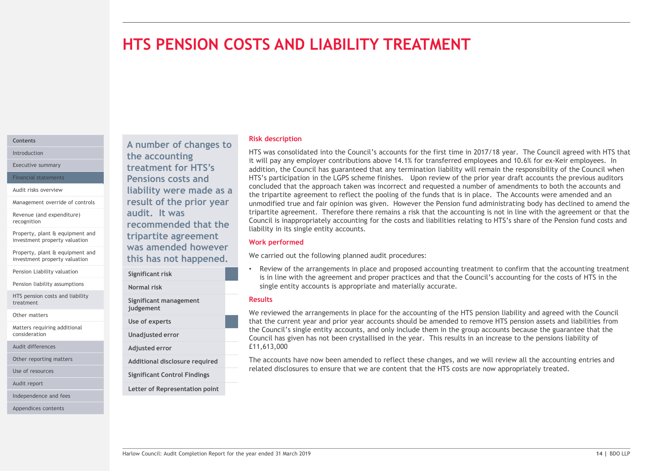# HTS PENSION COSTS AND LIABILITY TREATMENT

# Contents

Management override of controls

Revenue (and expenditure)

Property, plant & equipment and investment property valuation

Property, plant & equipment and

Pension Liability valuation<br>
Significant risk

Pension liability assumptions<br>
Normal risk

HTS pension costs and liability treatment

Other matters

Matters requiring additional consideration

Audit differences

Use of resources

Audit report

Independence and fees

Appendices contents

A number of changes to Introduction  $\mathbf{H}$  the accounting  $\mathbf{H}$  is will be the accounting  $\mathbf{H}$ Executive summary **Executive summary Executive summary Executive summary** Financial statements **Pensions costs and** HTS's partic Audit risks overview **Audit risks overview Audit risks overview Audit risks overview Audit Trumper Concerned Service** are not an expected to the tripartite agree result of the prior year audit. It was recognition **EXECUTE COMMENDED recommended that the** Council is inapprop tripartite agreement was amended however investment property valuation **investment property valuation investment property valuation investment property valuation** 

Significant management judgement Use of experts Adjusted error Significant Control Findings Other reporting matters **Additional disclosure required** 

Letter of Representation point

# Risk description

HTS was consolidated into the Council's accounts for the first time in 2017/18 year. The Council agreed with HTS that it will pay any employer contributions above 14.1% for transferred employees and 10.6% for ex-Keir employees. In addition, the Council has guaranteed that any termination liability will remain the responsibility of the Council when HTS's participation in the LGPS scheme finishes. Upon review of the prior year draft accounts the previous auditors concluded that the approach taken was incorrect and requested a number of amendments to both the accounts and the tripartite agreement to reflect the pooling of the funds that is in place. The Accounts were amended and an unmodified true and fair opinion was given. However the Pension fund administrating body has declined to amend the tripartite agreement. Therefore there remains a risk that the accounting is not in line with the agreement or that the Council is inappropriately accounting for the costs and liabilities relating to HTS's share of the Pension fund costs and liability in its single entity accounts. Risk description<br>HTS was consolidated into the Council's accounts for the first time in 2017/18 year. The Council agreed with HTS that<br>It will pay any employer contributions above 14.1% for transferred employees and 10.6%

# Work performed

We carried out the following planned audit procedures:

Review of the arrangements in place and proposed accounting treatment to confirm that the accounting treatment Significant risk **Examples 2008** is in line with the agreement and proper practices and that the Council's accounting for the costs of HTS in the strategy is in line with the agreement and proper practices and that the Cou single entity accounts is appropriate and materially accurate. Normal risk

# Results

We carried out the following planned audit procedures:<br>
Significant risk<br>
Significant risk<br>
Significant risk<br>
Significant risk<br>
Significant risk<br>
Significant risk<br>
Significant risk<br>
Significant managements<br>
Significant man We reviewed the arrangements in place for the accounting of the HTS pension liability and agreed with the Council that the current year and prior year accounts should be amended to remove HTS pension assets and liabilities from Council has given has not been crystallised in the year. This results in an increase to the pensions liability of £11,613,000 This provide the m in the group accounts because the guarantee that the Unadjusted error Council has given because the council and only include them in the group accounts because the guarantee that the

Additional disclosure required The accounts have now been amended to reflect these changes, and we will review all the accounting entries and related disclosures to ensure that we are content that the HTS costs are now appropriately treated.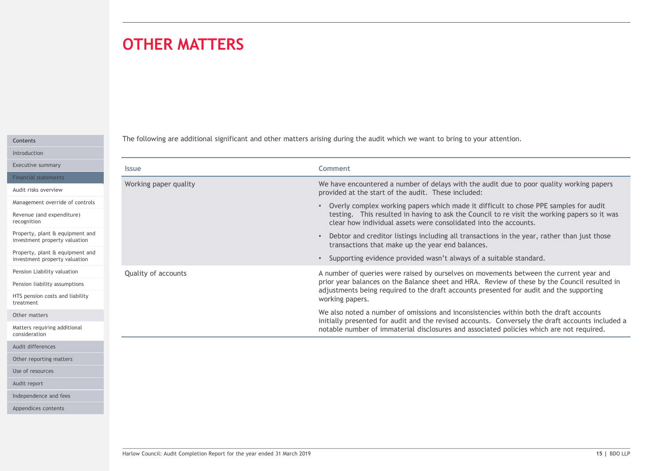# OTHER MATTERS

| Contents     |  |
|--------------|--|
| Introduction |  |

| <b>OTHER MATTERS</b>  |                                                                                                                                                                                                                                                                                                      |
|-----------------------|------------------------------------------------------------------------------------------------------------------------------------------------------------------------------------------------------------------------------------------------------------------------------------------------------|
|                       |                                                                                                                                                                                                                                                                                                      |
|                       | The following are additional significant and other matters arising during the audit which we want to bring to your attention.                                                                                                                                                                        |
| <b>Issue</b>          | <b>Comment</b>                                                                                                                                                                                                                                                                                       |
| Working paper quality | We have encountered a number of delays with the audit due to poor quality working papers<br>provided at the start of the audit. These included:                                                                                                                                                      |
|                       | • Overly complex working papers which made it difficult to chose PPE samples for audit<br>testing. This resulted in having to ask the Council to re visit the working papers so it was<br>clear how individual assets were consolidated into the accounts.                                           |
|                       | • Debtor and creditor listings including all transactions in the year, rather than just those<br>transactions that make up the year end balances.                                                                                                                                                    |
|                       | • Supporting evidence provided wasn't always of a suitable standard.                                                                                                                                                                                                                                 |
| Quality of accounts   | A number of queries were raised by ourselves on movements between the current year and<br>prior year balances on the Balance sheet and HRA. Review of these by the Council resulted in<br>adjustments being required to the draft accounts presented for audit and the supporting<br>working papers. |
|                       | We also noted a number of omissions and inconsistencies within both the draft accounts                                                                                                                                                                                                               |
|                       | initially presented for audit and the revised accounts. Conversely the draft accounts included a<br>notable number of immaterial disclosures and associated policies which are not required.                                                                                                         |
|                       |                                                                                                                                                                                                                                                                                                      |
|                       |                                                                                                                                                                                                                                                                                                      |
|                       |                                                                                                                                                                                                                                                                                                      |
|                       |                                                                                                                                                                                                                                                                                                      |
|                       |                                                                                                                                                                                                                                                                                                      |
|                       |                                                                                                                                                                                                                                                                                                      |
|                       |                                                                                                                                                                                                                                                                                                      |

Audit differences

Other reporting matters

Use of resources

Audit report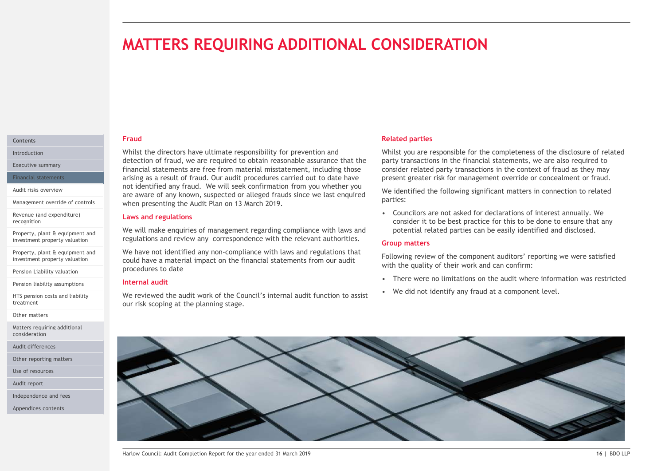# MATTERS REQUIRING ADDITIONAL CONSIDERATION

### Fraud **Contents Contents Contents**

Whilst the directors have ultimate responsibility for prevention and Introduction detection of fraud, we are required to obtain reasonable assurance that the Executive summary<br>
Financial statements are free from material misstatement, including those consider related principles arising as a result of fraud. Our audit procedures carried out to date have Financial statements **MATTERS REQUIRING ADDITIONAL CONSIDERATI**<br>
Fraud<br>
Whilst the directors have ultimate responsibility for prevention and<br>
detection of fraud, we are required to obtain reasonable assurance that the<br>
frinancial statements ar Audit risks overview<br>are aware of any known, suspected or alleged frauds since we last enquired we identified the f when presenting the Audit Plan on 13 March 2019. Management override of controls

# Laws and regulations

We will make enquiries of management regarding compliance with laws and investment property valuation and regulations and review any correspondence with the relevant authorities.

We have not identified any non-compliance with laws and regulations that investment property valuation could have a material impact on the financial statements from our audit procedures to date

# Internal audit

We reviewed the audit work of the Council's internal audit function to assist . We did not identify any fraud at a component level. our risk scoping at the planning stage.

# Related parties

Whilst you are responsible for the completeness of the disclosure of related party transactions in the financial statements, we are also required to consider related party transactions in the context of fraud as they may present greater risk for management override or concealment or fraud. **COUNTRIMANUM**<br> **Example 18 Analytical partitis**<br> **Solution** are responsible for the completeness of the disclosure of related<br>
party transactions in the financial statements, we are also required to<br>
consider related part **Related parties**<br>
Whilst you are responsible for the completeness of the disclosure of related<br>
party transactions in the financial statements, we are also required to<br>
consider related party transactions in the context o **Related parties**<br>
Whilst you are responsible for the completeness of the disclosure of related<br>
party transactions in the financial statements, we are also required to<br>
consider related party transactions in the context o

We identified the following significant matters in connection to related parties:

consider it to be best practice for this to be done to ensure that any potential related parties can be easily identified and disclosed.

# Group matters

Following review of the component auditors' reporting we were satisfied with the quality of their work and can confirm:

- 
- 

We have once identified any non-compliance with laws and regulations that<br>could have a material impact on the financial statements from our audit<br>procedures to date<br>intermal audit with the year ended by the year ended in t

Revenue (and expenditure) recognition

Property, plant & equipment and<br>investment property valuation

Property, plant & equipment and

Pension Liability valuation

Pension liability assumptions

HTS pension costs and liability treatment

Other matters

Matters requiring additional consideration

Audit differences

Other reporting matters

Use of resources

Audit report

Independence and fees

Appendices contents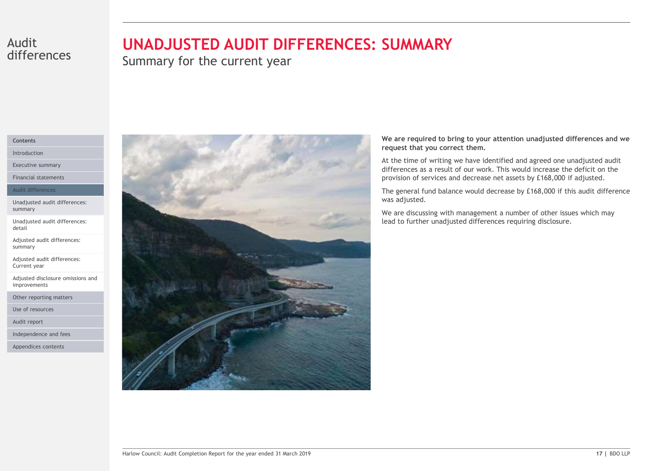# differences

# Audit **UNADJUSTED AUDIT DIFFERENCES: SUMMARY**

Summary for the current year

# Contents

Introduction

Executive summary

Financial statements

Audit differences

Unadjusted audit differences: summary

Unadjusted audit differences: detail

Adjusted audit differences: summary

Adjusted audit differences: Current year

Adjusted disclosure omissions and improvements

Other reporting matters

Use of resources

Audit report

Independence and fees

Appendices contents



We are required to bring to your attention unadjusted differences and we request that you correct them.

At the time of writing we have identified and agreed one unadjusted audit differences as a result of our work. This would increase the deficit on the provision of services and decrease net assets by £168,000 if adjusted.

The general fund balance would decrease by £168,000 if this audit difference was adjusted.

We are discussing with management a number of other issues which may lead to further unadjusted differences requiring disclosure.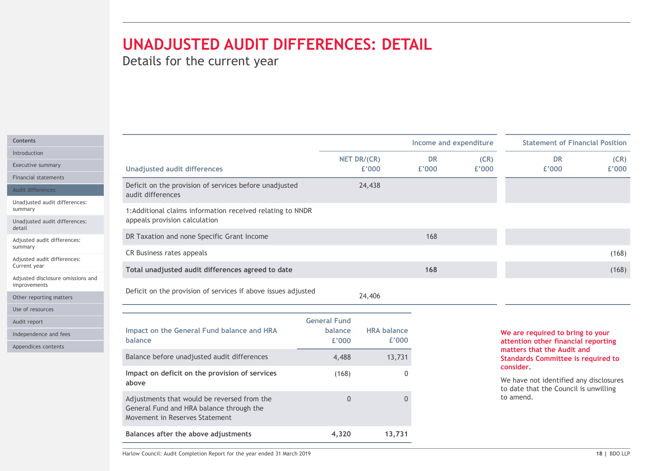# UNADJUSTED AUDIT DIFFERENCES: DETAIL

| UNADJUSTED AUDIT DIFFERENCES: DETAIL<br>Details for the current year                                                      |                     |                             |           |                        |                                                                                 |       |
|---------------------------------------------------------------------------------------------------------------------------|---------------------|-----------------------------|-----------|------------------------|---------------------------------------------------------------------------------|-------|
|                                                                                                                           |                     |                             |           |                        |                                                                                 |       |
|                                                                                                                           |                     |                             |           |                        |                                                                                 |       |
|                                                                                                                           |                     |                             |           |                        |                                                                                 |       |
|                                                                                                                           |                     |                             |           |                        |                                                                                 |       |
|                                                                                                                           |                     |                             |           |                        |                                                                                 |       |
|                                                                                                                           |                     |                             |           |                        |                                                                                 |       |
|                                                                                                                           |                     |                             |           | Income and expenditure | <b>Statement of Financial Position</b>                                          |       |
|                                                                                                                           |                     | NET DR/(CR)                 | <b>DR</b> | (CR)                   | <b>DR</b>                                                                       | (CR)  |
| <b>Unadjusted audit differences</b>                                                                                       |                     | £'000                       | £'000     | £'000                  | £'000                                                                           | £'000 |
| Deficit on the provision of services before unadjusted<br>audit differences                                               |                     | 24,438                      |           |                        |                                                                                 |       |
| 1: Additional claims information received relating to NNDR<br>appeals provision calculation                               |                     |                             |           |                        |                                                                                 |       |
| DR Taxation and none Specific Grant Income                                                                                |                     |                             | 168       |                        |                                                                                 |       |
| CR Business rates appeals                                                                                                 |                     |                             |           |                        |                                                                                 | (168) |
| Total unadjusted audit differences agreed to date                                                                         |                     |                             | 168       |                        |                                                                                 | (168) |
| Deficit on the provision of services if above issues adjusted                                                             |                     | 24,406                      |           |                        |                                                                                 |       |
|                                                                                                                           |                     |                             |           |                        |                                                                                 |       |
|                                                                                                                           | <b>General Fund</b> |                             |           |                        |                                                                                 |       |
| Impact on the General Fund balance and HRA<br>balance                                                                     | balance<br>£'000    | <b>HRA balance</b><br>£'000 |           |                        | We are required to bring to your                                                |       |
|                                                                                                                           |                     |                             |           |                        | attention other financial reporting<br>matters that the Audit and               |       |
| Balance before unadjusted audit differences                                                                               | 4,488               | 13,731                      |           |                        | <b>Standards Committee is required to</b><br>consider.                          |       |
| Impact on deficit on the provision of services<br>above                                                                   | (168)               |                             | $\Omega$  |                        | We have not identified any disclosures<br>to date that the Council is unwilling |       |
| Adjustments that would be reversed from the<br>General Fund and HRA balance through the<br>Movement in Reserves Statement | $\overline{0}$      |                             | $\Omega$  |                        | to amend.                                                                       |       |
|                                                                                                                           |                     |                             |           |                        |                                                                                 |       |
| Balances after the above adjustments                                                                                      | 4,320               | 13,731                      |           |                        |                                                                                 |       |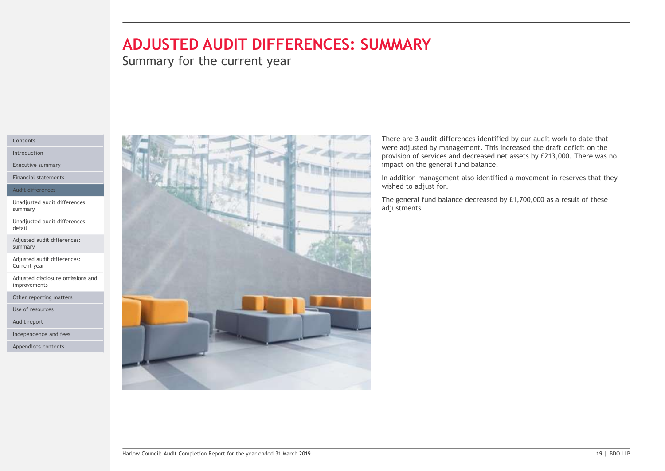# ADJUSTED AUDIT DIFFERENCES: SUMMARY

Summary for the current year

# Contents

Introduction

Executive summary

Financial statements

### Audit differences

Unadjusted audit differences: summary

Unadjusted audit differences: detail

Adjusted audit differences: summary

Adjusted audit differences: Current year

Adjusted disclosure omissions and improvements

Other reporting matters

Use of resources

Audit report

Independence and fees

Appendices contents



**MMARY**<br>There are 3 audit differences identified by our audit work to date that<br>were adjusted by management. This increased the draft deficit on the<br>provision of services and decreased net assets by £213,000. There was no<br> WERRIF THE AND MARY THE STATE OF STATE AND A THE STATE AND A THE STATE AND MOVED A STATE OF STATE AND SERVED ON A STATE AND MOVED A STATE AND MOVED THE STATE AND MOVED THE STATE AND MOVED THE STATE AND MOVED A STATE AND MO provision of services and decreased net assets by £213,000. There was no impact on the general fund balance.

In addition management also identified a movement in reserves that they wished to adjust for.

The general fund balance decreased by £1,700,000 as a result of these adjustments.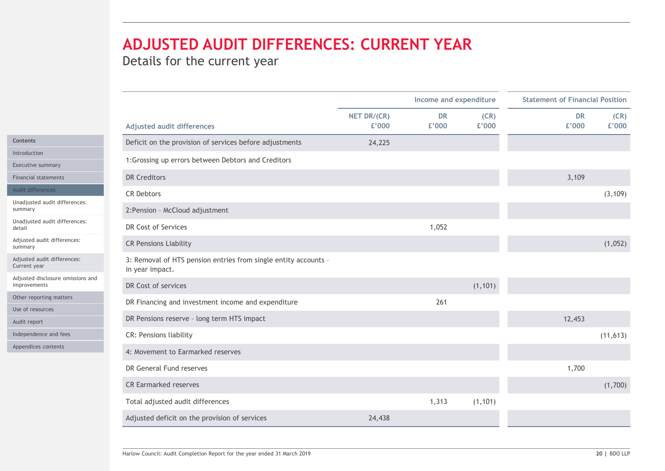# ADJUSTED AUDIT DIFFERENCES: CURRENT YEAR

| Details for the current year                                                                                      |                      |                        |               |                    |                                        |
|-------------------------------------------------------------------------------------------------------------------|----------------------|------------------------|---------------|--------------------|----------------------------------------|
|                                                                                                                   |                      |                        |               |                    |                                        |
|                                                                                                                   |                      | Income and expenditure |               |                    | <b>Statement of Financial Position</b> |
| <b>Adjusted audit differences</b>                                                                                 | NET DR/(CR)<br>£'000 | <b>DR</b><br>£'000     | (CR)<br>£'000 | <b>DR</b><br>£'000 | (CR)<br>£'000                          |
| Deficit on the provision of services before adjustments                                                           | 24,225               |                        |               |                    |                                        |
| 1: Grossing up errors between Debtors and Creditors                                                               |                      |                        |               |                    |                                        |
| Executive summary<br><b>DR Creditors</b><br><b>Financial statements</b>                                           |                      |                        |               | 3,109              |                                        |
| Audit differences                                                                                                 |                      |                        |               |                    |                                        |
| <b>CR Debtors</b><br>Unadjusted audit differences:                                                                |                      |                        |               |                    | (3, 109)                               |
| 2: Pension - McCloud adjustment<br>Unadjusted audit differences:                                                  |                      |                        |               |                    |                                        |
| DR Cost of Services                                                                                               |                      | 1,052                  |               |                    |                                        |
| Adjusted audit differences:<br><b>CR Pensions Liability</b>                                                       |                      |                        |               |                    | (1,052)                                |
| Adjusted audit differences:<br>3: Removal of HTS pension entries from single entity accounts -<br>in year impact. |                      |                        |               |                    |                                        |
| Adjusted disclosure omissions and<br>DR Cost of services<br>improvements                                          |                      |                        | (1, 101)      |                    |                                        |
| Other reporting matters<br>DR Financing and investment income and expenditure                                     |                      | 261                    |               |                    |                                        |
| Use of resources<br>DR Pensions reserve - long term HTS impact                                                    |                      |                        |               | 12,453             |                                        |
| Independence and fees<br>CR: Pensions liability                                                                   |                      |                        |               |                    | (11, 613)                              |
| Appendices contents<br>4: Movement to Earmarked reserves                                                          |                      |                        |               |                    |                                        |
| DR General Fund reserves                                                                                          |                      |                        |               | 1,700              |                                        |
|                                                                                                                   |                      |                        |               |                    | (1,700)                                |
|                                                                                                                   |                      |                        |               |                    |                                        |
| <b>CR Earmarked reserves</b><br>Total adjusted audit differences                                                  |                      | 1,313                  | (1, 101)      |                    |                                        |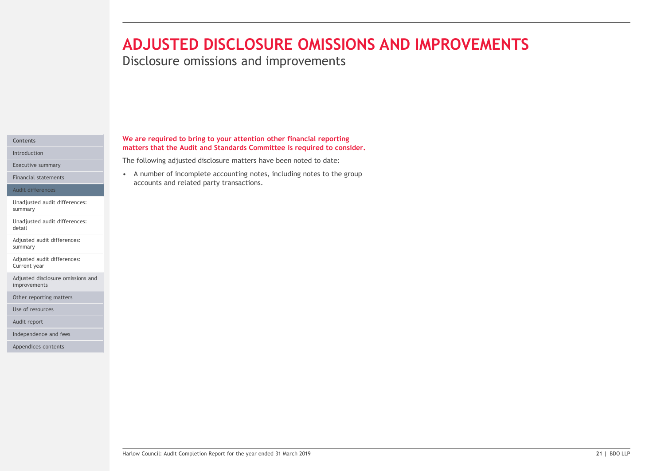# **ADJUSTED DISCLOSURE OMISSIONS AND IMP**<br>Disclosure omissions and improvements<br>We are required to bring to your attention other financial reporting<br>matters that the Audit and Standards Committee is required to consider.<br>The ADJUSTED DISCLOSURE OMISSIONS AND IMPROVEMENTS

Disclosure omissions and improvements

# Introduction

Executive summary

### Audit differences

Unadjusted audit differences: summary

Unadjusted audit differences: detail

Adjusted audit differences: summary

Adjusted audit differences: Current year

Adjusted disclosure omissions and improvements

Other reporting matters

Use of resources

Audit report

Independence and fees

Appendices contents

# We are required to bring to your attention other financial reporting Contents matters that the Audit and Standards Committee is required to consider.

The following adjusted disclosure matters have been noted to date:

accounts and related party transactions. Financial statements **Exercise 2008** • A number of incomplete accounting notes, including notes to the group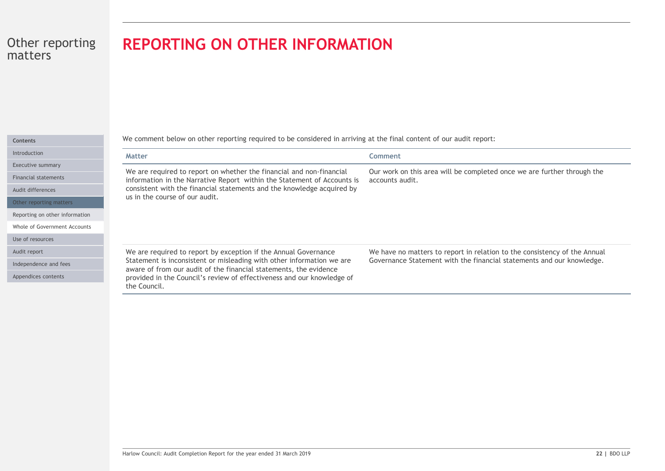# REPORTING ON OTHER INFORMATION

Introductio

Executive

Financial

Audit diffe

Other rep

Reporting

Whole of 0

Use of res

Audit repo

Independe

Appendice

| <b>REPORTING ON OTHER INFORMATION</b>                                                                                                                                                                                                                                                                   |                                                                                                                                                    |  |  |  |  |  |  |
|---------------------------------------------------------------------------------------------------------------------------------------------------------------------------------------------------------------------------------------------------------------------------------------------------------|----------------------------------------------------------------------------------------------------------------------------------------------------|--|--|--|--|--|--|
| We comment below on other reporting required to be considered in arriving at the final content of our audit report:                                                                                                                                                                                     |                                                                                                                                                    |  |  |  |  |  |  |
| Matter                                                                                                                                                                                                                                                                                                  | <b>Comment</b>                                                                                                                                     |  |  |  |  |  |  |
| We are required to report on whether the financial and non-financial<br>information in the Narrative Report within the Statement of Accounts is<br>consistent with the financial statements and the knowledge acquired by<br>us in the course of our audit.                                             | Our work on this area will be completed once we are further through the<br>accounts audit.                                                         |  |  |  |  |  |  |
| We are required to report by exception if the Annual Governance<br>Statement is inconsistent or misleading with other information we are<br>aware of from our audit of the financial statements, the evidence<br>provided in the Council's review of effectiveness and our knowledge of<br>the Council. | We have no matters to report in relation to the consistency of the Annual<br>Governance Statement with the financial statements and our knowledge. |  |  |  |  |  |  |
|                                                                                                                                                                                                                                                                                                         |                                                                                                                                                    |  |  |  |  |  |  |
| Harlow Council: Audit Completion Report for the year ended 31 March 2019                                                                                                                                                                                                                                | 22   BDO LLP                                                                                                                                       |  |  |  |  |  |  |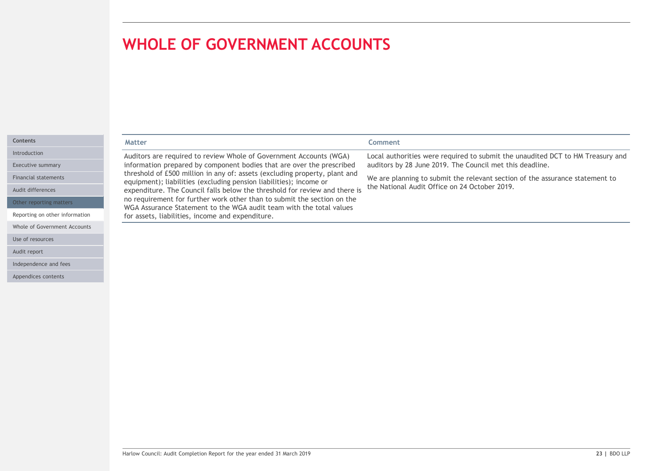Whole of Government Accounts

Use of resources Audit report

Independence and fees Appendices contents

|                             | <b>WHOLE OF GOVERNMENT ACCOUNTS</b>                                                                                                              |                                                                                |  |  |  |  |
|-----------------------------|--------------------------------------------------------------------------------------------------------------------------------------------------|--------------------------------------------------------------------------------|--|--|--|--|
|                             |                                                                                                                                                  |                                                                                |  |  |  |  |
|                             |                                                                                                                                                  |                                                                                |  |  |  |  |
|                             |                                                                                                                                                  |                                                                                |  |  |  |  |
|                             |                                                                                                                                                  |                                                                                |  |  |  |  |
|                             |                                                                                                                                                  |                                                                                |  |  |  |  |
| <b>Contents</b>             | <b>Matter</b>                                                                                                                                    | Comment                                                                        |  |  |  |  |
| Introduction                | Auditors are required to review Whole of Government Accounts (WGA)                                                                               | Local authorities were required to submit the unaudited DCT to HM Treasury and |  |  |  |  |
| <b>Executive summary</b>    | information prepared by component bodies that are over the prescribed                                                                            | auditors by 28 June 2019. The Council met this deadline.                       |  |  |  |  |
| <b>Financial statements</b> | threshold of £500 million in any of: assets (excluding property, plant and<br>equipment); liabilities (excluding pension liabilities); income or | We are planning to submit the relevant section of the assurance statement to   |  |  |  |  |
| Audit differences           | expenditure. The Council falls below the threshold for review and there is                                                                       | the National Audit Office on 24 October 2019.                                  |  |  |  |  |
| Other reporting matters     | no requirement for further work other than to submit the section on the                                                                          |                                                                                |  |  |  |  |
|                             | WGA Assurance Statement to the WGA audit team with the total values                                                                              |                                                                                |  |  |  |  |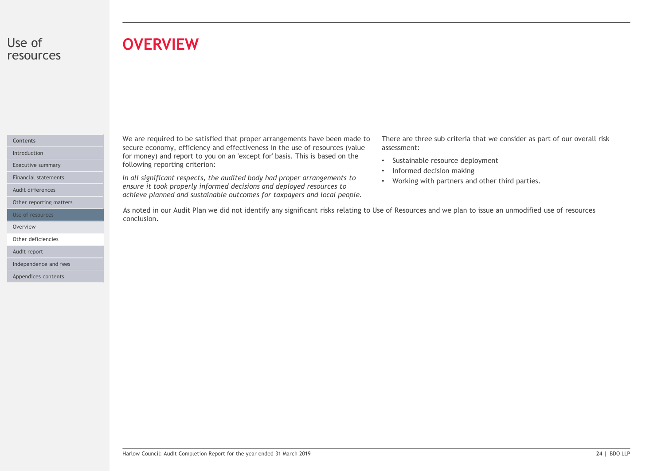# Use of resources

# **OVERVIEW**

# Contents

Audit differences

Use of resources

Other reporting matters

Overview **of the contract of the contract of the contract of the contract of the contract of the contract of the contract of the contract of the contract of the contract of the contract of the contract of the contract of t** 

Other deficiencies

Audit report

Independence and fees

Appendices contents

We are required to be satisfied that proper arrangements have been made to secure economy, efficiency and effectiveness in the use of resources (value Introduction **Except for money)** and report to you on an 'except for' basis. This is based on the **Interior and the** Executive summary **Executive summary Executive summary Executive summary EXECUTE:** 

Financial statements **Exercicians Convertsery of the audited body had proper arrangements to Morking with** ensure it took properly informed decisions and deployed resources to achieve planned and sustainable outcomes for taxpayers and local people.

There are three sub criteria that we consider as part of our overall risk assessment:

- Sustainable resource deployment
- Informed decision making
- Working with partners and other third parties.

As noted in our Audit Plan we did not identify any significant risks relating to Use of Resources and we plan to issue an unmodified use of resources conclusion.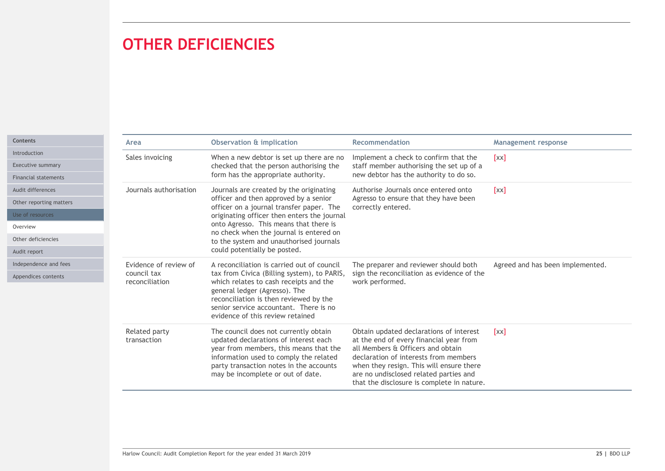# OTHER DEFICIENCIES

|                                                  | <b>OTHER DEFICIENCIES</b>     |                                                                                                                                                                                                                                                    |                                                                                                                                                                                                                                                                                                      |                                  |
|--------------------------------------------------|-------------------------------|----------------------------------------------------------------------------------------------------------------------------------------------------------------------------------------------------------------------------------------------------|------------------------------------------------------------------------------------------------------------------------------------------------------------------------------------------------------------------------------------------------------------------------------------------------------|----------------------------------|
|                                                  |                               |                                                                                                                                                                                                                                                    |                                                                                                                                                                                                                                                                                                      |                                  |
|                                                  | Area                          | <b>Observation &amp; implication</b>                                                                                                                                                                                                               | Recommendation                                                                                                                                                                                                                                                                                       | <b>Management response</b>       |
| Executive summary                                | Sales invoicing               | When a new debtor is set up there are no<br>checked that the person authorising the<br>form has the appropriate authority.                                                                                                                         | Implement a check to confirm that the<br>staff member authorising the set up of a<br>new debtor has the authority to do so.                                                                                                                                                                          | [xx]                             |
| <b>Financial statements</b><br>Audit differences | Journals authorisation        | Journals are created by the originating                                                                                                                                                                                                            | Authorise Journals once entered onto<br>[xx]<br>Agresso to ensure that they have been<br>correctly entered.                                                                                                                                                                                          |                                  |
| Other reporting matters                          |                               | officer and then approved by a senior                                                                                                                                                                                                              |                                                                                                                                                                                                                                                                                                      |                                  |
|                                                  |                               | officer on a journal transfer paper. The<br>originating officer then enters the journal<br>onto Agresso. This means that there is<br>no check when the journal is entered on<br>to the system and unauthorised journals                            |                                                                                                                                                                                                                                                                                                      |                                  |
|                                                  |                               |                                                                                                                                                                                                                                                    |                                                                                                                                                                                                                                                                                                      |                                  |
| Other deficiencies                               |                               |                                                                                                                                                                                                                                                    |                                                                                                                                                                                                                                                                                                      |                                  |
|                                                  |                               | could potentially be posted.                                                                                                                                                                                                                       |                                                                                                                                                                                                                                                                                                      |                                  |
| Independence and fees                            | Evidence of review of         | A reconciliation is carried out of council                                                                                                                                                                                                         | The preparer and reviewer should both                                                                                                                                                                                                                                                                | Agreed and has been implemented. |
| Appendices contents                              | council tax<br>reconciliation | tax from Civica (Billing system), to PARIS,<br>which relates to cash receipts and the<br>general ledger (Agresso). The<br>reconciliation is then reviewed by the<br>senior service accountant. There is no<br>evidence of this review retained     | sign the reconciliation as evidence of the<br>work performed.                                                                                                                                                                                                                                        |                                  |
|                                                  | Related party<br>transaction  | The council does not currently obtain<br>updated declarations of interest each<br>year from members, this means that the<br>information used to comply the related<br>party transaction notes in the accounts<br>may be incomplete or out of date. | Obtain updated declarations of interest<br>at the end of every financial year from<br>all Members & Officers and obtain<br>declaration of interests from members<br>when they resign. This will ensure there<br>are no undisclosed related parties and<br>that the disclosure is complete in nature. | [xx]                             |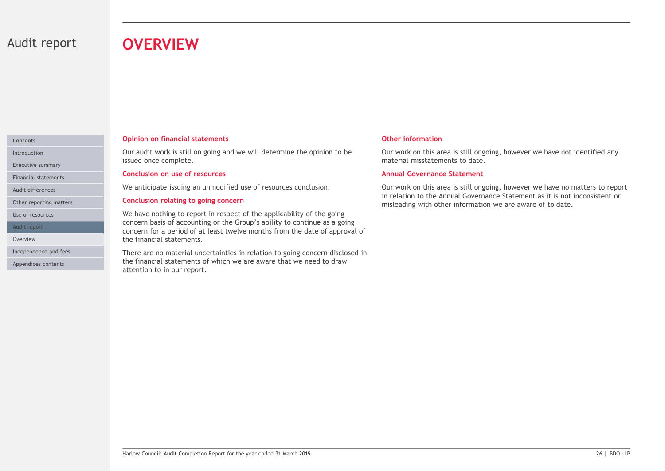# Audit report **OVERVIEW**

# Contents

Executive summary

Financial statements

Other reporting matters

Use of resources

Audit report

Appendices contents

# Opinion on financial statements

Introduction **Exercician Controller Cournal Curaudit work is still on going and we will determine the opinion to be Curawork on the Curawork on the Superversion of the Superversion of the Superversion of the Superversion o** issued once complete.

### Conclusion on use of resources

Audit differences **Audit differences Example 20** We anticipate issuing an unmodified use of resources conclusion.

### Conclusion relating to going concern

**COVERVIEW**<br>
Opinion on financial statements<br>
Our audit work is still on going and we will determine the opinion to be<br>
stated once complete.<br>
Sconclusion on use of resources<br>
Conclusion on use of resources<br>
We anticipate We have nothing to report in respect of the applicability of the going concern basis of accounting or the Group's ability to continue as a going concern for a period of at least twelve months from the date of approval of the financial statements. Overview

There are to material uncertainties in relation to going concern disclosed in<br>There are on anterial uncertainties in relation to going concern disclosed in<br>the theration to in our report.<br>Harlow Council: Audit Completion R Independence and fees **There are no material uncertainties in relation to going concern disclosed in** the financial statements of which we are aware that we need to draw attention to in our report.

# Other information

Our work on this area is still ongoing, however we have not identified any material misstatements to date.

# Annual Governance Statement

Our work on this area is still ongoing, however we have no matters to report in relation to the Annual Governance Statement as it is not inconsistent or misleading with other information we are aware of to date.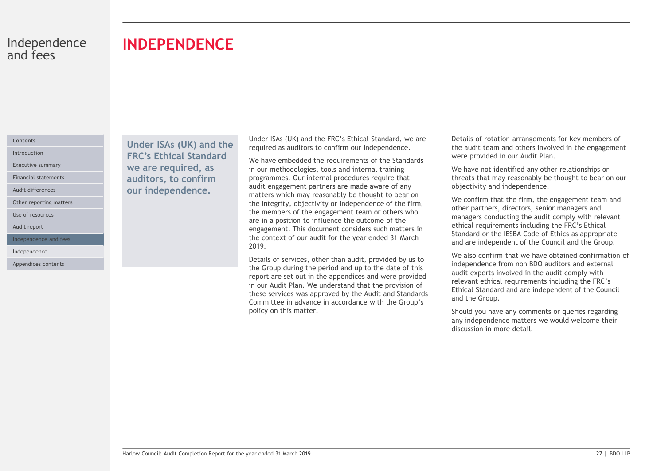# INDEPENDENCE

# Contents

Audit differences

Other reporting matters

Use of resources

Audit report

Independence and fees

Independence

Appendices contents

Under ISAs (UK) and the Introduction **FRC's Ethical Standard** We have embedded Executive summary **Executive summary We are required, as** in our method Financial statements **auditors, to confirm** programmes. our independence.

Under ISAs (UK) and the FRC's Ethical Standard, we are required as auditors to confirm our independence.

We have embedded the requirements of the Standards in our methodologies, tools and internal training programmes. Our internal procedures require that audit engagement partners are made aware of any matters which may reasonably be thought to bear on the integrity, objectivity or independence of the firm, the members of the engagement team or others who are in a position to influence the outcome of the engagement. This document considers such matters in the context of our audit for the year ended 31 March 2019.

Exais of services, other than audit, provided by us to<br>
the Group during the period and up to the date of this<br>
the Group during the period of the Group of the gradient of the year of the year ended in the additionally wit Details of services, other than audit, provided by us to the Group during the period and up to the date of this report are set out in the appendices and were provided in our Audit Plan. We understand that the provision of these services was approved by the Audit and Standards Committee in advance in accordance with the Group's policy on this matter.

Details of rotation arrangements for key members of the audit team and others involved in the engagement were provided in our Audit Plan.

We have not identified any other relationships or threats that may reasonably be thought to bear on our objectivity and independence.

We confirm that the firm, the engagement team and other partners, directors, senior managers and managers conducting the audit comply with relevant ethical requirements including the FRC's Ethical Standard or the IESBA Code of Ethics as appropriate and are independent of the Council and the Group.

We also confirm that we have obtained confirmation of independence from non BDO auditors and external audit experts involved in the audit comply with relevant ethical requirements including the FRC's Ethical Standard and are independent of the Council and the Group.

Should you have any comments or queries regarding any independence matters we would welcome their discussion in more detail.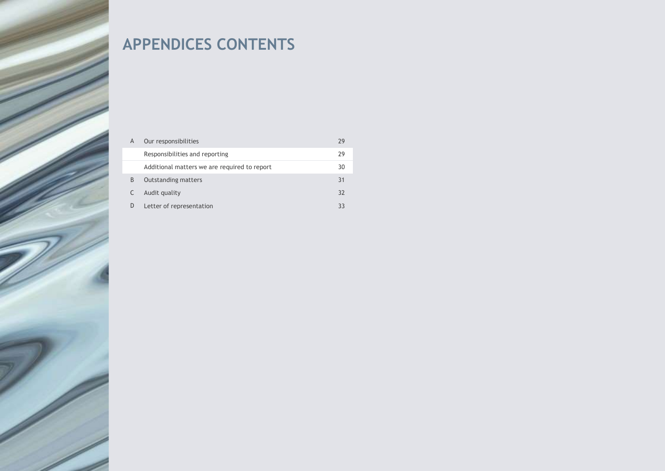# APPENDICES CONTENTS

| $\mathsf{A}$ | Our responsibilities                         | 29 |
|--------------|----------------------------------------------|----|
|              | Responsibilities and reporting               | 29 |
|              | Additional matters we are required to report | 30 |
| B            | <b>Outstanding matters</b>                   | 31 |
|              | Audit quality                                | 32 |
| D            | Letter of representation                     | 33 |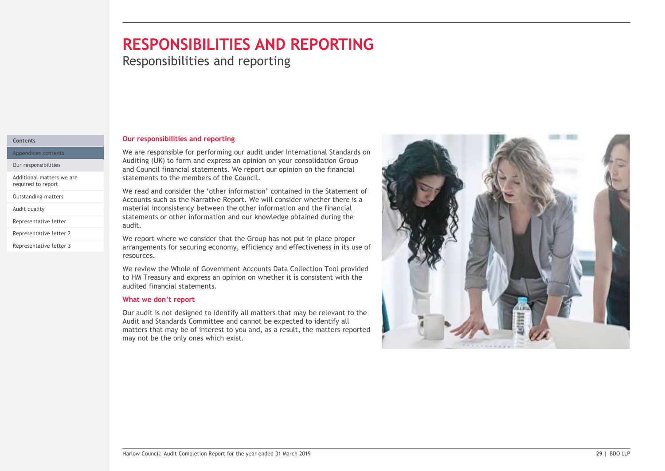# RESPONSIBILITIES AND REPORTING

**Responsibilities and reporting** 

# Contents

Appendices contents

Our responsibilities

Additional matters we are required to report

Outstanding matters

Representative letter

Representative letter 2

Representative letter 3

## Our responsibilities and reporting

We are responsible for performing our audit under International Standards on Auditing (UK) to form and express an opinion on your consolidation Group and Council financial statements. We report our opinion on the financial statements to the members of the Council.

We read and consider the 'other information' contained in the Statement of Accounts such as the Narrative Report. We will consider whether there is a Audit quality **the constant inconsistency between the other information and the financial** and the financial and the financial and the financial and the financial and the financial and the financial and the financial and t statements or other information and our knowledge obtained during the audit.

> We report where we consider that the Group has not put in place proper arrangements for securing economy, efficiency and effectiveness in its use of resources.

> We review the Whole of Government Accounts Data Collection Tool provided to HM Treasury and express an opinion on whether it is consistent with the audited financial statements.

# What we don't report

Our audit is not designed to identify all matters that may be relevant to the Audit and Standards Committee and cannot be expected to identify all matters that may be of interest to you and, as a result, the matters reported may not be the only ones which exist.

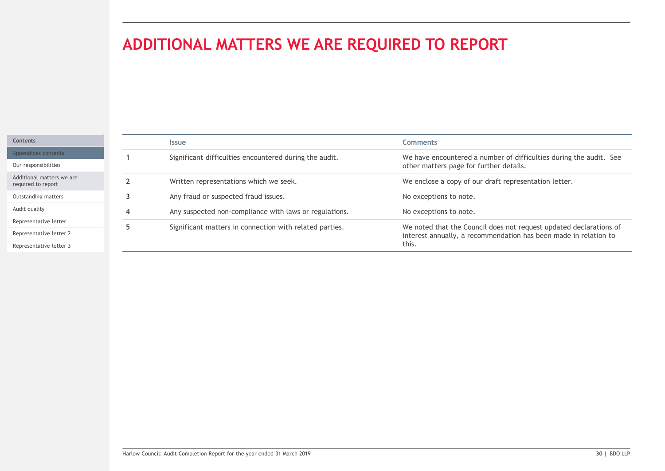# ADDITIONAL MATTERS WE ARE REQUIRED TO REPORT

# Contents Appendices contents

Our responsibilities

Additional matters we are required to report

Outstanding matters

Audit quality

Representative letter

Representative letter 2

Representative letter 3

|                      | ADDITIONAL MATTERS WE ARE REQUIRED TO REPORT                             |                                                                                                                                                 |
|----------------------|--------------------------------------------------------------------------|-------------------------------------------------------------------------------------------------------------------------------------------------|
|                      |                                                                          |                                                                                                                                                 |
|                      |                                                                          |                                                                                                                                                 |
|                      |                                                                          |                                                                                                                                                 |
|                      |                                                                          |                                                                                                                                                 |
|                      | Issue                                                                    | <b>Comments</b>                                                                                                                                 |
| $\blacktriangleleft$ | Significant difficulties encountered during the audit.                   | We have encountered a number of difficulties during the audit. See<br>other matters page for further details.                                   |
| $\overline{2}$       | Written representations which we seek.                                   | We enclose a copy of our draft representation letter.                                                                                           |
| $\overline{3}$       | Any fraud or suspected fraud issues.                                     | No exceptions to note.                                                                                                                          |
| $\overline{4}$       | Any suspected non-compliance with laws or regulations.                   | No exceptions to note.                                                                                                                          |
| 5 <sub>1</sub>       | Significant matters in connection with related parties.                  | We noted that the Council does not request updated declarations of<br>interest annually, a recommendation has been made in relation to<br>this. |
|                      |                                                                          |                                                                                                                                                 |
|                      |                                                                          |                                                                                                                                                 |
|                      |                                                                          |                                                                                                                                                 |
|                      |                                                                          |                                                                                                                                                 |
|                      |                                                                          |                                                                                                                                                 |
|                      |                                                                          |                                                                                                                                                 |
|                      |                                                                          |                                                                                                                                                 |
|                      |                                                                          |                                                                                                                                                 |
|                      |                                                                          |                                                                                                                                                 |
|                      |                                                                          |                                                                                                                                                 |
|                      |                                                                          |                                                                                                                                                 |
|                      |                                                                          |                                                                                                                                                 |
|                      | Harlow Council: Audit Completion Report for the year ended 31 March 2019 | 30   BDO LLP                                                                                                                                    |
|                      |                                                                          |                                                                                                                                                 |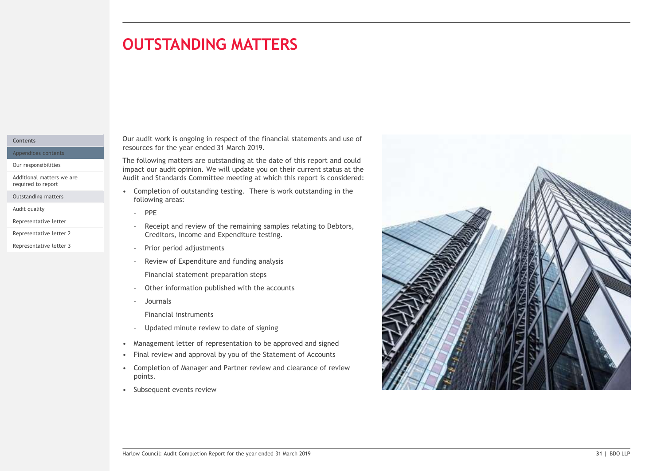# **OUTSTANDING MATTERS** matters in the control of the con-

# Contents

Appendices contents

Our responsibilities

Additional matters we are

Outstanding matters

Audit quality **Audit quality Audit quality Audit quality Audit Quality Audit Quality Audit Quality Audit** 

Representative letter 3

Our audit work is ongoing in respect of the financial statements and use of resources for the year ended 31 March 2019.

The following matters are outstanding at the date of this report and could impact our audit opinion. We will update you on their current status at the Audit and Standards Committee meeting at which this report is considered: **UTSTANDING MATTERS**<br>
audit work is ongoing in respect of the financial statements and use of<br>
vurces for the year ended 31 March 2019.<br>
following matters are outstanding at the date of this report and could<br>
act our audit

following areas: required to report<br>Completion of outstanding testing. There is work outstanding in the

- Creditors, Income and Expenditure testing. Representative letter 2 Representative letter<br>Receipt and review of the remaining samples relating to Debtors,
	-
	-
	-
	-
	-
	-
	-
	-
	-
	- points.
	-

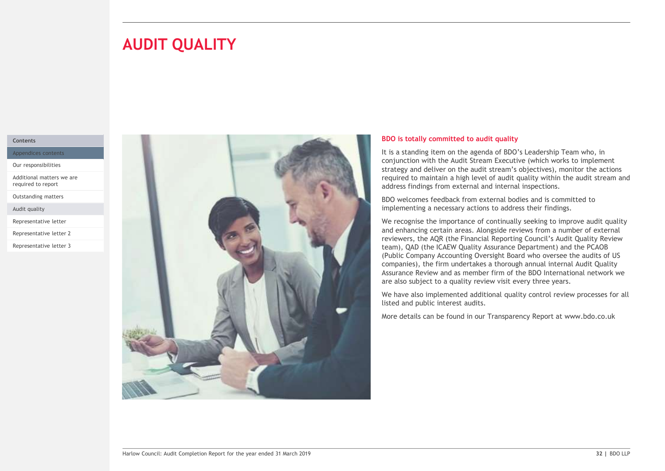# **AUDIT QUALITY**

# Contents

Appendices contents

Our responsibilities

Additional matters we are required to report

Outstanding matters

Audit quality

Representative letter

Representative letter 2

Representative letter 3



# BDO is totally committed to audit quality

It is a standing item on the agenda of BDO's Leadership Team who, in conjunction with the Audit Stream Executive (which works to implement strategy and deliver on the audit stream's objectives), monitor the actions required to maintain a high level of audit quality within the audit stream and address findings from external and internal inspections.

BDO welcomes feedback from external bodies and is committed to implementing a necessary actions to address their findings.

We recognise the importance of continually seeking to improve audit quality and enhancing certain areas. Alongside reviews from a number of external reviewers, the AQR (the Financial Reporting Council's Audit Quality Review team), QAD (the ICAEW Quality Assurance Department) and the PCAOB (Public Company Accounting Oversight Board who oversee the audits of US companies), the firm undertakes a thorough annual internal Audit Quality Assurance Review and as member firm of the BDO International network we are also subject to a quality review visit every three years.

We have also implemented additional quality control review processes for all listed and public interest audits.

More details can be found in our Transparency Report at www.bdo.co.uk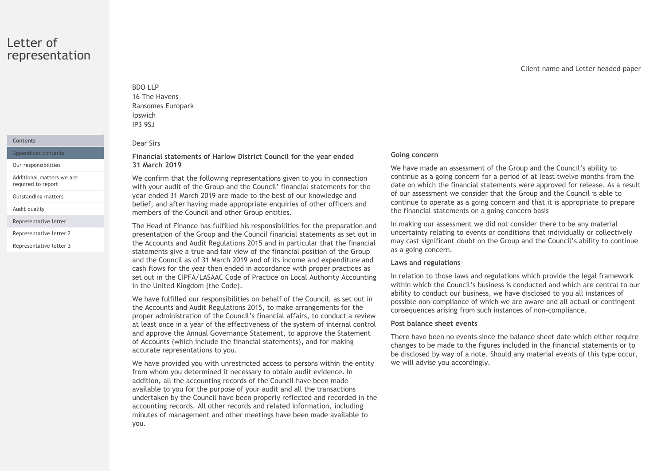# Letter of representation

# **Contents**

Appendices contents

Additional matters we are required to report

Outstanding matters

Representative letter

Representative letter 3

# BDO LLP 16 The Havens BDO LLP<br>16 The Havens<br>Ransomes Europark<br>Ipswich<br>Para Sirs<br>Financial statements of Harlow District Council for the year ended Going con Ipswich IP3 9SJ

### Dear Sirs

Financial statements of Harlow District Council for the year ended Our responsibilities 31 March 2019

BDO LLP<br>
16 The Havens<br>
Ransomes Europark<br>
IP3 95J<br>
Dear Sirs<br>
Financial statements of Harlow District Council for the year ended<br>
31 March 2019<br>
We confirm that the following representations given to you in connection<br>
we We confirm that the following representations given to you in connection with your audit of the Group and the Council' financial statements for the year ended 31 March 2019 are made to the best of our knowledge and belief, and after having made appropriate enquiries of other officers and Audit quality **members of the Council and other Group entities.** 

The Head of Finance has fulfilled his responsibilities for the preparation and presentation of the Group and the Council financial statements as set out in Representative letter 2 the Accounts and Audit Regulations 2015 and in particular that the financial statements give a true and fair view of the financial position of the Group and the Council as of 31 March 2019 and of its income and expenditure and cash flows for the year then ended in accordance with proper practices as set out in the CIPFA/LASAAC Code of Practice on Local Authority Accounting in the United Kingdom (the Code).

> We have fulfilled our responsibilities on behalf of the Council, as set out in the Accounts and Audit Regulations 2015, to make arrangements for the proper administration of the Council's financial affairs, to conduct a review at least once in a year of the effectiveness of the system of internal control and approve the Annual Governance Statement, to approve the Statement of Accounts (which include the financial statements), and for making accurate representations to you.

> We have provided you with unrestricted access to persons within the entity from whom you determined it necessary to obtain audit evidence. In addition, all the accounting records of the Council have been made available to you for the purpose of your audit and all the transactions undertaken by the Council have been properly reflected and recorded in the accounting records. All other records and related information, including minutes of management and other meetings have been made available to you.

### Going concern

We have made an assessment of the Group and the Council's ability to continue as a going concern for a period of at least twelve months from the date on which the financial statements were approved for release. As a result of our assessment we consider that the Group and the Council is able to continue to operate as a going concern and that it is appropriate to prepare the financial statements on a going concern basis

In making our assessment we did not consider there to be any material uncertainty relating to events or conditions that individually or collectively may cast significant doubt on the Group and the Council's ability to continue as a going concern.

# Laws and regulations

In relation to those laws and regulations which provide the legal framework within which the Council's business is conducted and which are central to our ability to conduct our business, we have disclosed to you all instances of possible non-compliance of which we are aware and all actual or contingent consequences arising from such instances of non-compliance.

# Post balance sheet events

There have been no events since the balance sheet date which either require changes to be made to the figures included in the financial statements or to be disclosed by way of a note. Should any material events of this type occur, we will advise you accordingly.

Client name and Letter headed paper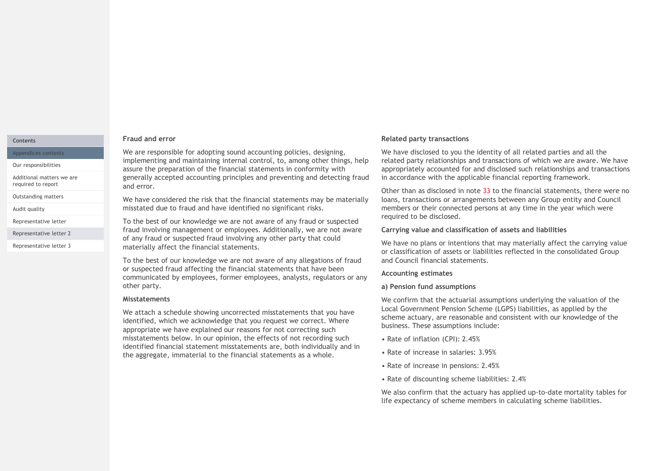### **Contents**

Appendices contents

Our responsibilities

Additional matters we are required to report

Outstanding matters

Representative letter 2

Representative letter 3

### Fraud and error

We are responsible for adopting sound accounting policies, designing, implementing and maintaining internal control, to, among other things, help assure the preparation of the financial statements in conformity with generally accepted accounting principles and preventing and detecting fraud and error.

We have considered the risk that the financial statements may be materially misstated due to fraud and have identified no significant risks. Audit quality

Representative letter **The Communist Communist Communist Communist Communist Communist Communist Communist Communist Communist Communist Communist Communist Communist Communist Communist Communist Communist Communist Commu** fraud involving management or employees. Additionally, we are not aware of any fraud or suspected fraud involving any other party that could materially affect the financial statements.

> To the best of our knowledge we are not aware of any allegations of fraud or suspected fraud affecting the financial statements that have been communicated by employees, former employees, analysts, regulators or any other party.

### Misstatements

We attach a schedule showing uncorrected misstatements that you have identified, which we acknowledge that you request we correct. Where appropriate we have explained our reasons for not correcting such misstatements below. In our opinion, the effects of not recording such identified financial statement misstatements are, both individually and in the aggregate, immaterial to the financial statements as a whole.

# Related party transactions

We have disclosed to you the identity of all related parties and all the related party relationships and transactions of which we are aware. We have appropriately accounted for and disclosed such relationships and transactions in accordance with the applicable financial reporting framework.

Other than as disclosed in note 33 to the financial statements, there were no loans, transactions or arrangements between any Group entity and Council members or their connected persons at any time in the year which were required to be disclosed.

# Carrying value and classification of assets and liabilities

We have no plans or intentions that may materially affect the carrying value or classification of assets or liabilities reflected in the consolidated Group and Council financial statements.

# Accounting estimates

# a) Pension fund assumptions

We confirm that the actuarial assumptions underlying the valuation of the Local Government Pension Scheme (LGPS) liabilities, as applied by the scheme actuary, are reasonable and consistent with our knowledge of the business. These assumptions include:

- Rate of inflation (CPI): 2.45%
- Rate of increase in salaries: 3.95%
- Rate of increase in pensions: 2.45%
- Rate of discounting scheme liabilities: 2.4%

We also confirm that the actuary has applied up-to-date mortality tables for life expectancy of scheme members in calculating scheme liabilities.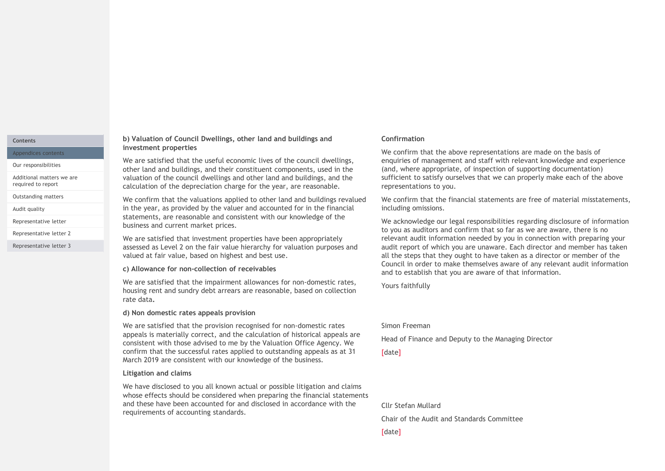# **Contents**

Appendices contents

Our responsibilities

Additional matters we are required to report

Outstanding matters

Representative letter

Representative letter 2

Representative letter 3

# b) Valuation of Council Dwellings, other land and buildings and investment properties

We are satisfied that the useful economic lives of the council dwellings, other land and buildings, and their constituent components, used in the valuation of the council dwellings and other land and buildings, and the calculation of the depreciation charge for the year, are reasonable.

We confirm that the valuations applied to other land and buildings revalued in the properties are the useful and buildings and<br>
We are astistied that the useful economic lives of the council dwellings,<br>
We are astistied that the useful economic lives of the council dwellings,<br>
We are astistied tha statements, are reasonable and consistent with our knowledge of the business and current market prices. Audit quality **Audit quality** in the vear, as provided by the valuer and accounted for in the financial

We are satisfied that investment properties have been appropriately assessed as Level 2 on the fair value hierarchy for valuation purposes and valued at fair value, based on highest and best use.

### c) Allowance for non-collection of receivables

We are satisfied that the impairment allowances for non-domestic rates, housing rent and sundry debt arrears are reasonable, based on collection rate data.<br>d) Non domestic rates appeals provision

We are satisfied that the provision recognised for non-domestic rates appeals is materially correct, and the calculation of historical appeals are consistent with those advised to me by the Valuation Office Agency. We confirm that the successful rates applied to outstanding appeals as at 31 March 2019 are consistent with our knowledge of the business.

### Litigation and claims

We have disclosed to you all known actual or possible litigation and claims whose effects should be considered when preparing the financial statements and these have been accounted for and disclosed in accordance with the requirements of accounting standards.

# Confirmation

We confirm that the above representations are made on the basis of enquiries of management and staff with relevant knowledge and experience (and, where appropriate, of inspection of supporting documentation) sufficient to satisfy ourselves that we can properly make each of the above representations to you.

We confirm that the financial statements are free of material misstatements, including omissions.

We acknowledge our legal responsibilities regarding disclosure of information to you as auditors and confirm that so far as we are aware, there is no relevant audit information needed by you in connection with preparing your audit report of which you are unaware. Each director and member has taken all the steps that they ought to have taken as a director or member of the Council in order to make themselves aware of any relevant audit information and to establish that you are aware of that information.

Yours faithfully

# Simon Freeman

Head of Finance and Deputy to the Managing Director

[date]

Cllr Stefan Mullard

Chair of the Audit and Standards Committee

[date]